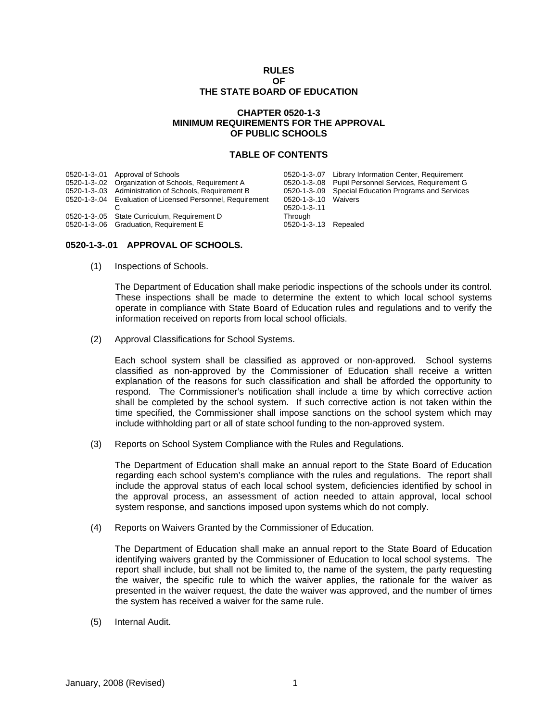### **RULES OF THE STATE BOARD OF EDUCATION**

## **CHAPTER 0520-1-3 MINIMUM REQUIREMENTS FOR THE APPROVAL OF PUBLIC SCHOOLS**

### **TABLE OF CONTENTS**

| 0520-1-3-.01 Approval of Schools<br>0520-1-3-.02 Organization of Schools, Requirement A<br>0520-1-3-.03 Administration of Schools, Requirement B<br>0520-1-3-.04 Evaluation of Licensed Personnel, Requirement | 0520-1-3-10 Waivers                                     | 0520-1-3-.07 Library Information Center, Requirement<br>0520-1-3-.08 Pupil Personnel Services, Requirement G<br>0520-1-3-09 Special Education Programs and Services |
|----------------------------------------------------------------------------------------------------------------------------------------------------------------------------------------------------------------|---------------------------------------------------------|---------------------------------------------------------------------------------------------------------------------------------------------------------------------|
| 0520-1-3-.05 State Curriculum, Requirement D<br>0520-1-3-.06 Graduation, Requirement E                                                                                                                         | $0520 - 1 - 3 - 11$<br>Through<br>0520-1-3-.13 Repealed |                                                                                                                                                                     |

# **0520-1-3-.01 APPROVAL OF SCHOOLS.**

(1) Inspections of Schools.

The Department of Education shall make periodic inspections of the schools under its control. These inspections shall be made to determine the extent to which local school systems operate in compliance with State Board of Education rules and regulations and to verify the information received on reports from local school officials.

(2) Approval Classifications for School Systems.

Each school system shall be classified as approved or non-approved. School systems classified as non-approved by the Commissioner of Education shall receive a written explanation of the reasons for such classification and shall be afforded the opportunity to respond. The Commissioner's notification shall include a time by which corrective action shall be completed by the school system. If such corrective action is not taken within the time specified, the Commissioner shall impose sanctions on the school system which may include withholding part or all of state school funding to the non-approved system.

(3) Reports on School System Compliance with the Rules and Regulations.

The Department of Education shall make an annual report to the State Board of Education regarding each school system's compliance with the rules and regulations. The report shall include the approval status of each local school system, deficiencies identified by school in the approval process, an assessment of action needed to attain approval, local school system response, and sanctions imposed upon systems which do not comply.

(4) Reports on Waivers Granted by the Commissioner of Education.

The Department of Education shall make an annual report to the State Board of Education identifying waivers granted by the Commissioner of Education to local school systems. The report shall include, but shall not be limited to, the name of the system, the party requesting the waiver, the specific rule to which the waiver applies, the rationale for the waiver as presented in the waiver request, the date the waiver was approved, and the number of times the system has received a waiver for the same rule.

(5) Internal Audit.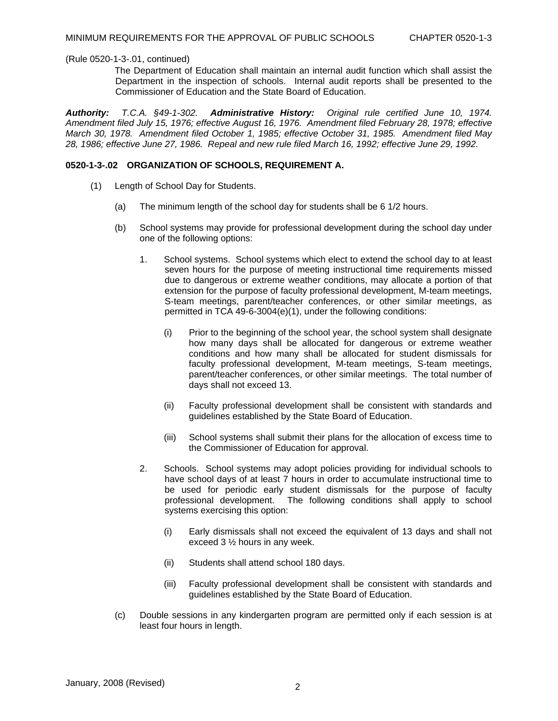The Department of Education shall maintain an internal audit function which shall assist the Department in the inspection of schools. Internal audit reports shall be presented to the Commissioner of Education and the State Board of Education.

*Authority: T.C.A. §49-1-302. Administrative History: Original rule certified June 10, 1974. Amendment filed July 15, 1976; effective August 16, 1976. Amendment filed February 28, 1978; effective March 30, 1978. Amendment filed October 1, 1985; effective October 31, 1985. Amendment filed May 28, 1986; effective June 27, 1986. Repeal and new rule filed March 16, 1992; effective June 29, 1992.* 

## **0520-1-3-.02 ORGANIZATION OF SCHOOLS, REQUIREMENT A.**

- (1) Length of School Day for Students.
	- (a) The minimum length of the school day for students shall be 6 1/2 hours.
	- (b) School systems may provide for professional development during the school day under one of the following options:
		- 1. School systems. School systems which elect to extend the school day to at least seven hours for the purpose of meeting instructional time requirements missed due to dangerous or extreme weather conditions, may allocate a portion of that extension for the purpose of faculty professional development, M-team meetings, S-team meetings, parent/teacher conferences, or other similar meetings, as permitted in TCA 49-6-3004(e)(1), under the following conditions:
			- (i) Prior to the beginning of the school year, the school system shall designate how many days shall be allocated for dangerous or extreme weather conditions and how many shall be allocated for student dismissals for faculty professional development, M-team meetings, S-team meetings, parent/teacher conferences, or other similar meetings. The total number of days shall not exceed 13.
			- (ii) Faculty professional development shall be consistent with standards and guidelines established by the State Board of Education.
			- (iii) School systems shall submit their plans for the allocation of excess time to the Commissioner of Education for approval.
		- 2. Schools. School systems may adopt policies providing for individual schools to have school days of at least 7 hours in order to accumulate instructional time to be used for periodic early student dismissals for the purpose of faculty professional development. The following conditions shall apply to school systems exercising this option:
			- (i) Early dismissals shall not exceed the equivalent of 13 days and shall not exceed 3 ½ hours in any week.
			- (ii) Students shall attend school 180 days.
			- (iii) Faculty professional development shall be consistent with standards and guidelines established by the State Board of Education.
	- (c) Double sessions in any kindergarten program are permitted only if each session is at least four hours in length.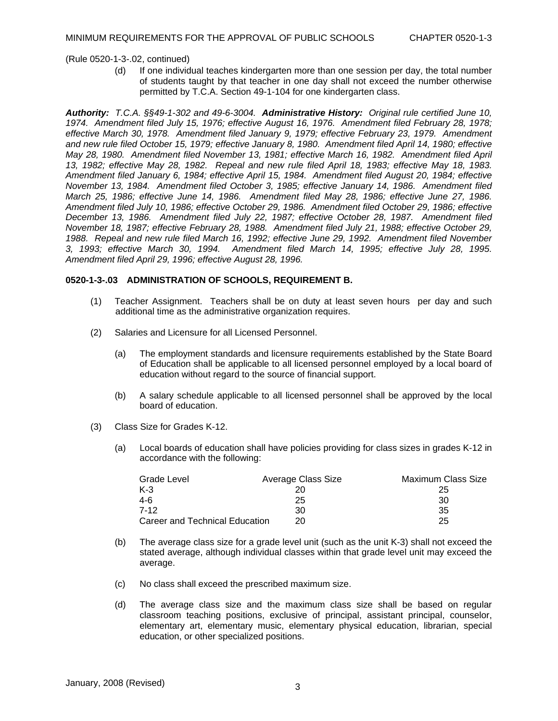(d) If one individual teaches kindergarten more than one session per day, the total number of students taught by that teacher in one day shall not exceed the number otherwise permitted by T.C.A. Section 49-1-104 for one kindergarten class.

*Authority: T.C.A. §§49-1-302 and 49-6-3004. Administrative History: Original rule certified June 10, 1974. Amendment filed July 15, 1976; effective August 16, 1976. Amendment filed February 28, 1978; effective March 30, 1978. Amendment filed January 9, 1979; effective February 23, 1979. Amendment and new rule filed October 15, 1979; effective January 8, 1980. Amendment filed April 14, 1980; effective May 28, 1980. Amendment filed November 13, 1981; effective March 16, 1982. Amendment filed April 13, 1982; effective May 28, 1982. Repeal and new rule filed April 18, 1983; effective May 18, 1983. Amendment filed January 6, 1984; effective April 15, 1984. Amendment filed August 20, 1984; effective November 13, 1984. Amendment filed October 3, 1985; effective January 14, 1986. Amendment filed March 25, 1986; effective June 14, 1986. Amendment filed May 28, 1986; effective June 27, 1986. Amendment filed July 10, 1986; effective October 29, 1986. Amendment filed October 29, 1986; effective December 13, 1986. Amendment filed July 22, 1987; effective October 28, 1987. Amendment filed November 18, 1987; effective February 28, 1988. Amendment filed July 21, 1988; effective October 29, 1988. Repeal and new rule filed March 16, 1992; effective June 29, 1992. Amendment filed November 3, 1993; effective March 30, 1994. Amendment filed March 14, 1995; effective July 28, 1995. Amendment filed April 29, 1996; effective August 28, 1996.* 

## **0520-1-3-.03 ADMINISTRATION OF SCHOOLS, REQUIREMENT B.**

- (1) Teacher Assignment. Teachers shall be on duty at least seven hours per day and such additional time as the administrative organization requires.
- (2) Salaries and Licensure for all Licensed Personnel.
	- (a) The employment standards and licensure requirements established by the State Board of Education shall be applicable to all licensed personnel employed by a local board of education without regard to the source of financial support.
	- (b) A salary schedule applicable to all licensed personnel shall be approved by the local board of education.
- (3) Class Size for Grades K-12.
	- (a) Local boards of education shall have policies providing for class sizes in grades K-12 in accordance with the following:

| Grade Level                    | Average Class Size | Maximum Class Size |
|--------------------------------|--------------------|--------------------|
| $K-3$                          | 20                 | 25                 |
| $4-6$                          | 25                 | 30                 |
| $7-12$                         | 30                 | 35                 |
| Career and Technical Education | 20.                | 25                 |

- (b) The average class size for a grade level unit (such as the unit K-3) shall not exceed the stated average, although individual classes within that grade level unit may exceed the average.
- (c) No class shall exceed the prescribed maximum size.
- (d) The average class size and the maximum class size shall be based on regular classroom teaching positions, exclusive of principal, assistant principal, counselor, elementary art, elementary music, elementary physical education, librarian, special education, or other specialized positions.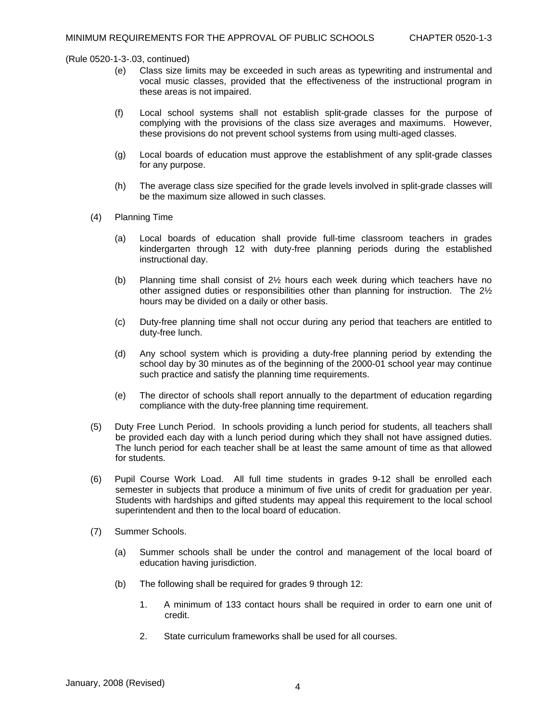- (e) Class size limits may be exceeded in such areas as typewriting and instrumental and vocal music classes, provided that the effectiveness of the instructional program in these areas is not impaired.
- (f) Local school systems shall not establish split-grade classes for the purpose of complying with the provisions of the class size averages and maximums. However, these provisions do not prevent school systems from using multi-aged classes.
- (g) Local boards of education must approve the establishment of any split-grade classes for any purpose.
- (h) The average class size specified for the grade levels involved in split-grade classes will be the maximum size allowed in such classes.
- (4) Planning Time
	- (a) Local boards of education shall provide full-time classroom teachers in grades kindergarten through 12 with duty-free planning periods during the established instructional day.
	- (b) Planning time shall consist of 2½ hours each week during which teachers have no other assigned duties or responsibilities other than planning for instruction. The 2½ hours may be divided on a daily or other basis.
	- (c) Duty-free planning time shall not occur during any period that teachers are entitled to duty-free lunch.
	- (d) Any school system which is providing a duty-free planning period by extending the school day by 30 minutes as of the beginning of the 2000-01 school year may continue such practice and satisfy the planning time requirements.
	- (e) The director of schools shall report annually to the department of education regarding compliance with the duty-free planning time requirement.
- (5) Duty Free Lunch Period. In schools providing a lunch period for students, all teachers shall be provided each day with a lunch period during which they shall not have assigned duties. The lunch period for each teacher shall be at least the same amount of time as that allowed for students.
- (6) Pupil Course Work Load. All full time students in grades 9-12 shall be enrolled each semester in subjects that produce a minimum of five units of credit for graduation per year. Students with hardships and gifted students may appeal this requirement to the local school superintendent and then to the local board of education.
- (7) Summer Schools.
	- (a) Summer schools shall be under the control and management of the local board of education having jurisdiction.
	- (b) The following shall be required for grades 9 through 12:
		- 1. A minimum of 133 contact hours shall be required in order to earn one unit of credit.
		- 2. State curriculum frameworks shall be used for all courses.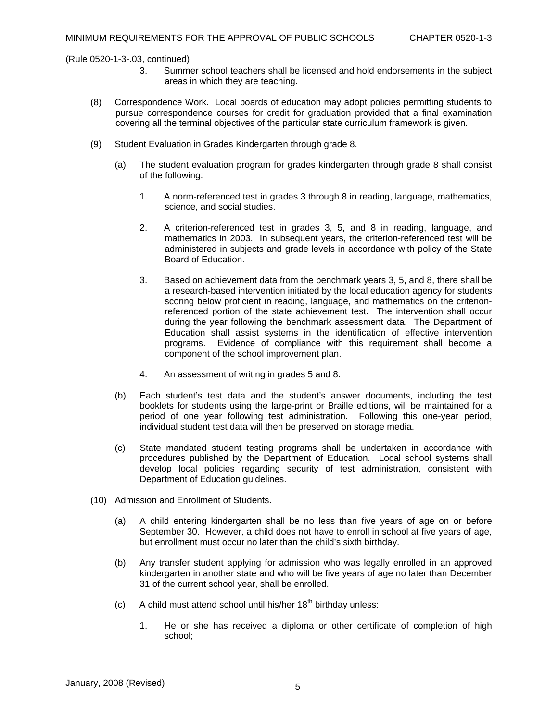- 3. Summer school teachers shall be licensed and hold endorsements in the subject areas in which they are teaching.
- (8) Correspondence Work. Local boards of education may adopt policies permitting students to pursue correspondence courses for credit for graduation provided that a final examination covering all the terminal objectives of the particular state curriculum framework is given.
- (9) Student Evaluation in Grades Kindergarten through grade 8.
	- (a) The student evaluation program for grades kindergarten through grade 8 shall consist of the following:
		- 1. A norm-referenced test in grades 3 through 8 in reading, language, mathematics, science, and social studies.
		- 2. A criterion-referenced test in grades 3, 5, and 8 in reading, language, and mathematics in 2003. In subsequent years, the criterion-referenced test will be administered in subjects and grade levels in accordance with policy of the State Board of Education.
		- 3. Based on achievement data from the benchmark years 3, 5, and 8, there shall be a research-based intervention initiated by the local education agency for students scoring below proficient in reading, language, and mathematics on the criterionreferenced portion of the state achievement test. The intervention shall occur during the year following the benchmark assessment data. The Department of Education shall assist systems in the identification of effective intervention programs. Evidence of compliance with this requirement shall become a component of the school improvement plan.
		- 4. An assessment of writing in grades 5 and 8.
	- (b) Each student's test data and the student's answer documents, including the test booklets for students using the large-print or Braille editions, will be maintained for a period of one year following test administration. Following this one-year period, individual student test data will then be preserved on storage media.
	- (c) State mandated student testing programs shall be undertaken in accordance with procedures published by the Department of Education. Local school systems shall develop local policies regarding security of test administration, consistent with Department of Education guidelines.
- (10) Admission and Enrollment of Students.
	- (a) A child entering kindergarten shall be no less than five years of age on or before September 30. However, a child does not have to enroll in school at five years of age, but enrollment must occur no later than the child's sixth birthday.
	- (b) Any transfer student applying for admission who was legally enrolled in an approved kindergarten in another state and who will be five years of age no later than December 31 of the current school year, shall be enrolled.
	- (c) A child must attend school until his/her  $18<sup>th</sup>$  birthday unless:
		- 1. He or she has received a diploma or other certificate of completion of high school;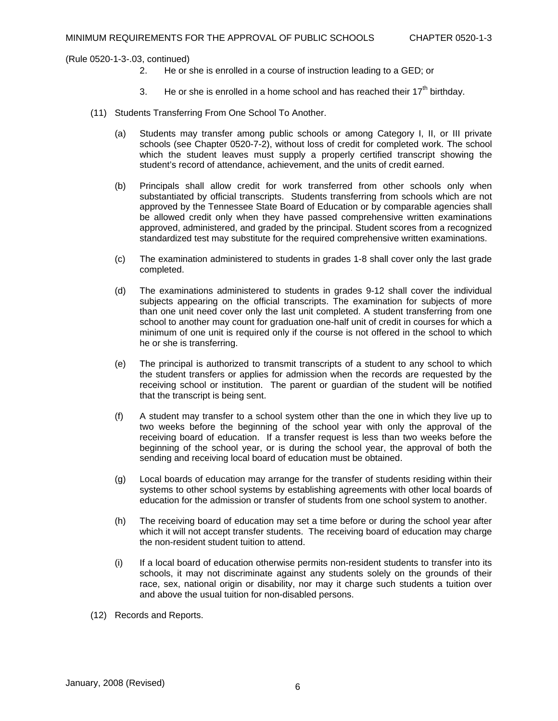- 2. He or she is enrolled in a course of instruction leading to a GED; or
- 3. He or she is enrolled in a home school and has reached their  $17<sup>th</sup>$  birthday.
- (11) Students Transferring From One School To Another.
	- (a) Students may transfer among public schools or among Category I, II, or III private schools (see Chapter 0520-7-2), without loss of credit for completed work. The school which the student leaves must supply a properly certified transcript showing the student's record of attendance, achievement, and the units of credit earned.
	- (b) Principals shall allow credit for work transferred from other schools only when substantiated by official transcripts. Students transferring from schools which are not approved by the Tennessee State Board of Education or by comparable agencies shall be allowed credit only when they have passed comprehensive written examinations approved, administered, and graded by the principal. Student scores from a recognized standardized test may substitute for the required comprehensive written examinations.
	- (c) The examination administered to students in grades 1-8 shall cover only the last grade completed.
	- (d) The examinations administered to students in grades 9-12 shall cover the individual subjects appearing on the official transcripts. The examination for subjects of more than one unit need cover only the last unit completed. A student transferring from one school to another may count for graduation one-half unit of credit in courses for which a minimum of one unit is required only if the course is not offered in the school to which he or she is transferring.
	- (e) The principal is authorized to transmit transcripts of a student to any school to which the student transfers or applies for admission when the records are requested by the receiving school or institution. The parent or guardian of the student will be notified that the transcript is being sent.
	- (f) A student may transfer to a school system other than the one in which they live up to two weeks before the beginning of the school year with only the approval of the receiving board of education. If a transfer request is less than two weeks before the beginning of the school year, or is during the school year, the approval of both the sending and receiving local board of education must be obtained.
	- (g) Local boards of education may arrange for the transfer of students residing within their systems to other school systems by establishing agreements with other local boards of education for the admission or transfer of students from one school system to another.
	- (h) The receiving board of education may set a time before or during the school year after which it will not accept transfer students. The receiving board of education may charge the non-resident student tuition to attend.
	- (i) If a local board of education otherwise permits non-resident students to transfer into its schools, it may not discriminate against any students solely on the grounds of their race, sex, national origin or disability, nor may it charge such students a tuition over and above the usual tuition for non-disabled persons.
- (12) Records and Reports.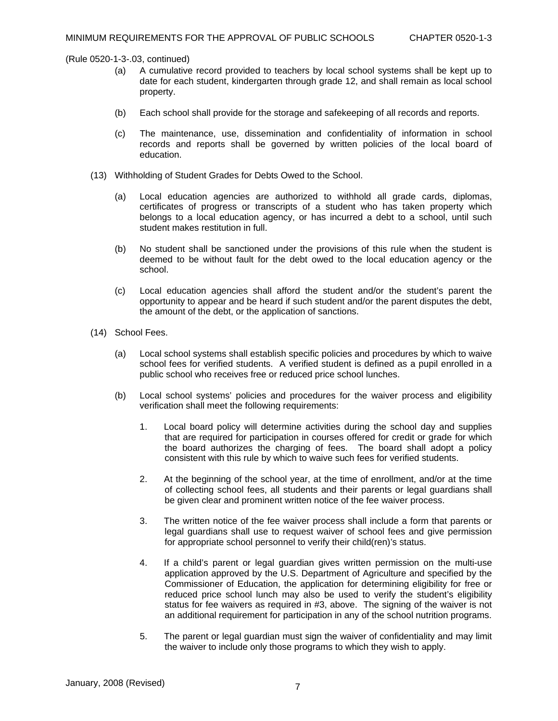- (a) A cumulative record provided to teachers by local school systems shall be kept up to date for each student, kindergarten through grade 12, and shall remain as local school property.
- (b) Each school shall provide for the storage and safekeeping of all records and reports.
- (c) The maintenance, use, dissemination and confidentiality of information in school records and reports shall be governed by written policies of the local board of education.
- (13) Withholding of Student Grades for Debts Owed to the School.
	- (a) Local education agencies are authorized to withhold all grade cards, diplomas, certificates of progress or transcripts of a student who has taken property which belongs to a local education agency, or has incurred a debt to a school, until such student makes restitution in full.
	- (b) No student shall be sanctioned under the provisions of this rule when the student is deemed to be without fault for the debt owed to the local education agency or the school.
	- (c) Local education agencies shall afford the student and/or the student's parent the opportunity to appear and be heard if such student and/or the parent disputes the debt, the amount of the debt, or the application of sanctions.
- (14) School Fees.
	- (a) Local school systems shall establish specific policies and procedures by which to waive school fees for verified students. A verified student is defined as a pupil enrolled in a public school who receives free or reduced price school lunches.
	- (b) Local school systems' policies and procedures for the waiver process and eligibility verification shall meet the following requirements:
		- 1. Local board policy will determine activities during the school day and supplies that are required for participation in courses offered for credit or grade for which the board authorizes the charging of fees. The board shall adopt a policy consistent with this rule by which to waive such fees for verified students.
		- 2. At the beginning of the school year, at the time of enrollment, and/or at the time of collecting school fees, all students and their parents or legal guardians shall be given clear and prominent written notice of the fee waiver process.
		- 3. The written notice of the fee waiver process shall include a form that parents or legal guardians shall use to request waiver of school fees and give permission for appropriate school personnel to verify their child(ren)'s status.
		- 4. If a child's parent or legal guardian gives written permission on the multi-use application approved by the U.S. Department of Agriculture and specified by the Commissioner of Education, the application for determining eligibility for free or reduced price school lunch may also be used to verify the student's eligibility status for fee waivers as required in #3, above. The signing of the waiver is not an additional requirement for participation in any of the school nutrition programs.
		- 5. The parent or legal guardian must sign the waiver of confidentiality and may limit the waiver to include only those programs to which they wish to apply.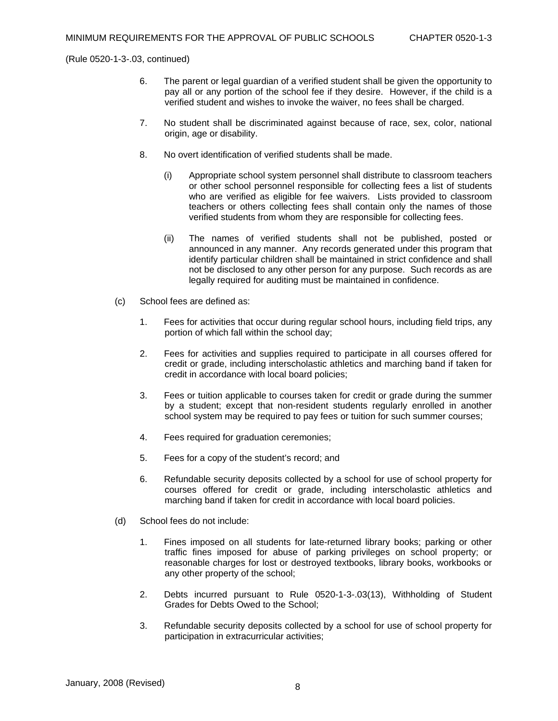- 6. The parent or legal guardian of a verified student shall be given the opportunity to pay all or any portion of the school fee if they desire. However, if the child is a verified student and wishes to invoke the waiver, no fees shall be charged.
- 7. No student shall be discriminated against because of race, sex, color, national origin, age or disability.
- 8. No overt identification of verified students shall be made.
	- (i) Appropriate school system personnel shall distribute to classroom teachers or other school personnel responsible for collecting fees a list of students who are verified as eligible for fee waivers. Lists provided to classroom teachers or others collecting fees shall contain only the names of those verified students from whom they are responsible for collecting fees.
	- (ii) The names of verified students shall not be published, posted or announced in any manner. Any records generated under this program that identify particular children shall be maintained in strict confidence and shall not be disclosed to any other person for any purpose. Such records as are legally required for auditing must be maintained in confidence.
- (c) School fees are defined as:
	- 1. Fees for activities that occur during regular school hours, including field trips, any portion of which fall within the school day;
	- 2. Fees for activities and supplies required to participate in all courses offered for credit or grade, including interscholastic athletics and marching band if taken for credit in accordance with local board policies;
	- 3. Fees or tuition applicable to courses taken for credit or grade during the summer by a student; except that non-resident students regularly enrolled in another school system may be required to pay fees or tuition for such summer courses;
	- 4. Fees required for graduation ceremonies;
	- 5. Fees for a copy of the student's record; and
	- 6. Refundable security deposits collected by a school for use of school property for courses offered for credit or grade, including interscholastic athletics and marching band if taken for credit in accordance with local board policies.
- (d) School fees do not include:
	- 1. Fines imposed on all students for late-returned library books; parking or other traffic fines imposed for abuse of parking privileges on school property; or reasonable charges for lost or destroyed textbooks, library books, workbooks or any other property of the school;
	- 2. Debts incurred pursuant to Rule 0520-1-3-.03(13), Withholding of Student Grades for Debts Owed to the School;
	- 3. Refundable security deposits collected by a school for use of school property for participation in extracurricular activities;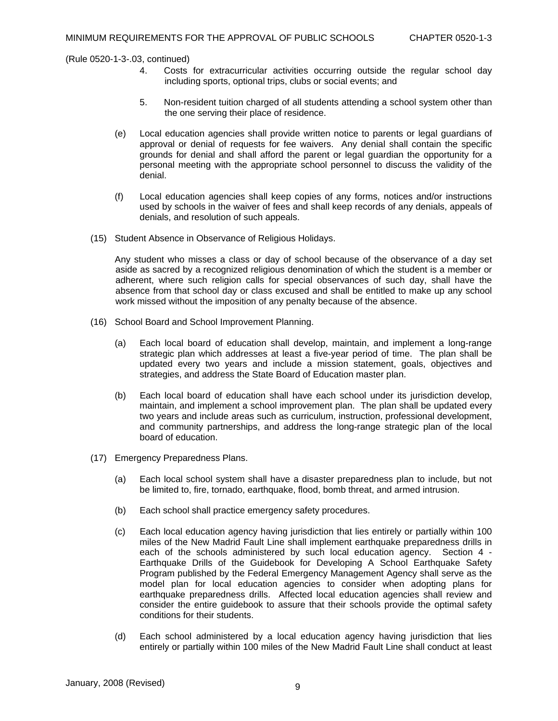- 4. Costs for extracurricular activities occurring outside the regular school day including sports, optional trips, clubs or social events; and
- 5. Non-resident tuition charged of all students attending a school system other than the one serving their place of residence.
- (e) Local education agencies shall provide written notice to parents or legal guardians of approval or denial of requests for fee waivers. Any denial shall contain the specific grounds for denial and shall afford the parent or legal guardian the opportunity for a personal meeting with the appropriate school personnel to discuss the validity of the denial.
- (f) Local education agencies shall keep copies of any forms, notices and/or instructions used by schools in the waiver of fees and shall keep records of any denials, appeals of denials, and resolution of such appeals.
- (15) Student Absence in Observance of Religious Holidays.

Any student who misses a class or day of school because of the observance of a day set aside as sacred by a recognized religious denomination of which the student is a member or adherent, where such religion calls for special observances of such day, shall have the absence from that school day or class excused and shall be entitled to make up any school work missed without the imposition of any penalty because of the absence.

- (16) School Board and School Improvement Planning.
	- (a) Each local board of education shall develop, maintain, and implement a long-range strategic plan which addresses at least a five-year period of time. The plan shall be updated every two years and include a mission statement, goals, objectives and strategies, and address the State Board of Education master plan.
	- (b) Each local board of education shall have each school under its jurisdiction develop, maintain, and implement a school improvement plan. The plan shall be updated every two years and include areas such as curriculum, instruction, professional development, and community partnerships, and address the long-range strategic plan of the local board of education.
- (17) Emergency Preparedness Plans.
	- (a) Each local school system shall have a disaster preparedness plan to include, but not be limited to, fire, tornado, earthquake, flood, bomb threat, and armed intrusion.
	- (b) Each school shall practice emergency safety procedures.
	- (c) Each local education agency having jurisdiction that lies entirely or partially within 100 miles of the New Madrid Fault Line shall implement earthquake preparedness drills in each of the schools administered by such local education agency. Section 4 - Earthquake Drills of the Guidebook for Developing A School Earthquake Safety Program published by the Federal Emergency Management Agency shall serve as the model plan for local education agencies to consider when adopting plans for earthquake preparedness drills. Affected local education agencies shall review and consider the entire guidebook to assure that their schools provide the optimal safety conditions for their students.
	- (d) Each school administered by a local education agency having jurisdiction that lies entirely or partially within 100 miles of the New Madrid Fault Line shall conduct at least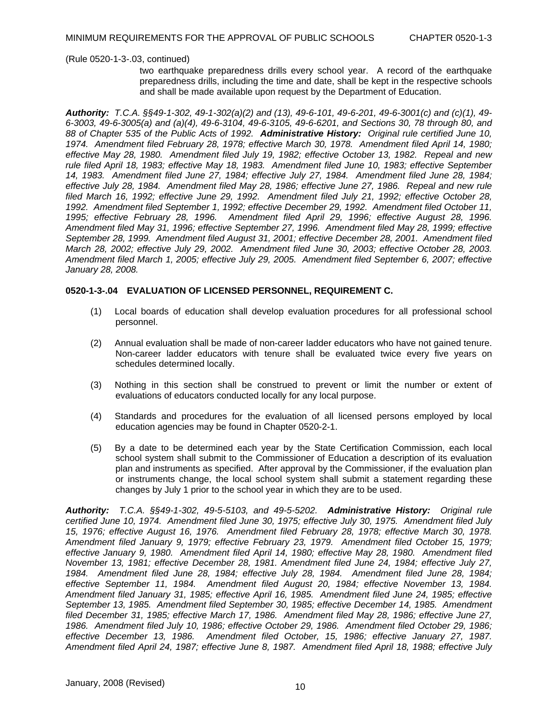two earthquake preparedness drills every school year. A record of the earthquake preparedness drills, including the time and date, shall be kept in the respective schools and shall be made available upon request by the Department of Education.

*Authority: T.C.A. §§49-1-302, 49-1-302(a)(2) and (13), 49-6-101, 49-6-201, 49-6-3001(c) and (c)(1), 49- 6-3003, 49-6-3005(a) and (a)(4), 49-6-3104, 49-6-3105, 49-6-6201, and Sections 30, 78 through 80, and 88 of Chapter 535 of the Public Acts of 1992. Administrative History: Original rule certified June 10, 1974. Amendment filed February 28, 1978; effective March 30, 1978. Amendment filed April 14, 1980; effective May 28, 1980. Amendment filed July 19, 1982; effective October 13, 1982. Repeal and new rule filed April 18, 1983; effective May 18, 1983. Amendment filed June 10, 1983; effective September 14, 1983. Amendment filed June 27, 1984; effective July 27, 1984. Amendment filed June 28, 1984; effective July 28, 1984. Amendment filed May 28, 1986; effective June 27, 1986. Repeal and new rule filed March 16, 1992; effective June 29, 1992. Amendment filed July 21, 1992; effective October 28, 1992. Amendment filed September 1, 1992; effective December 29, 1992. Amendment filed October 11, 1995; effective February 28, 1996. Amendment filed April 29, 1996; effective August 28, 1996. Amendment filed May 31, 1996; effective September 27, 1996. Amendment filed May 28, 1999; effective September 28, 1999. Amendment filed August 31, 2001; effective December 28, 2001. Amendment filed March 28, 2002; effective July 29, 2002. Amendment filed June 30, 2003; effective October 28, 2003. Amendment filed March 1, 2005; effective July 29, 2005. Amendment filed September 6, 2007; effective January 28, 2008.* 

## **0520-1-3-.04 EVALUATION OF LICENSED PERSONNEL, REQUIREMENT C.**

- (1) Local boards of education shall develop evaluation procedures for all professional school personnel.
- (2) Annual evaluation shall be made of non-career ladder educators who have not gained tenure. Non-career ladder educators with tenure shall be evaluated twice every five years on schedules determined locally.
- (3) Nothing in this section shall be construed to prevent or limit the number or extent of evaluations of educators conducted locally for any local purpose.
- (4) Standards and procedures for the evaluation of all licensed persons employed by local education agencies may be found in Chapter 0520-2-1.
- (5) By a date to be determined each year by the State Certification Commission, each local school system shall submit to the Commissioner of Education a description of its evaluation plan and instruments as specified. After approval by the Commissioner, if the evaluation plan or instruments change, the local school system shall submit a statement regarding these changes by July 1 prior to the school year in which they are to be used.

*Authority: T.C.A. §§49-1-302, 49-5-5103, and 49-5-5202. Administrative History: Original rule certified June 10, 1974. Amendment filed June 30, 1975; effective July 30, 1975. Amendment filed July 15, 1976; effective August 16, 1976. Amendment filed February 28, 1978; effective March 30, 1978. Amendment filed January 9, 1979; effective February 23, 1979. Amendment filed October 15, 1979; effective January 9, 1980. Amendment filed April 14, 1980; effective May 28, 1980. Amendment filed November 13, 1981; effective December 28, 1981. Amendment filed June 24, 1984; effective July 27, 1984. Amendment filed June 28, 1984; effective July 28, 1984. Amendment filed June 28, 1984; effective September 11, 1984. Amendment filed August 20, 1984; effective November 13, 1984. Amendment filed January 31, 1985; effective April 16, 1985. Amendment filed June 24, 1985; effective September 13, 1985. Amendment filed September 30, 1985; effective December 14, 1985. Amendment filed December 31, 1985; effective March 17, 1986. Amendment filed May 28, 1986; effective June 27, 1986. Amendment filed July 10, 1986; effective October 29, 1986. Amendment filed October 29, 1986; effective December 13, 1986. Amendment filed October, 15, 1986; effective January 27, 1987. Amendment filed April 24, 1987; effective June 8, 1987. Amendment filed April 18, 1988; effective July*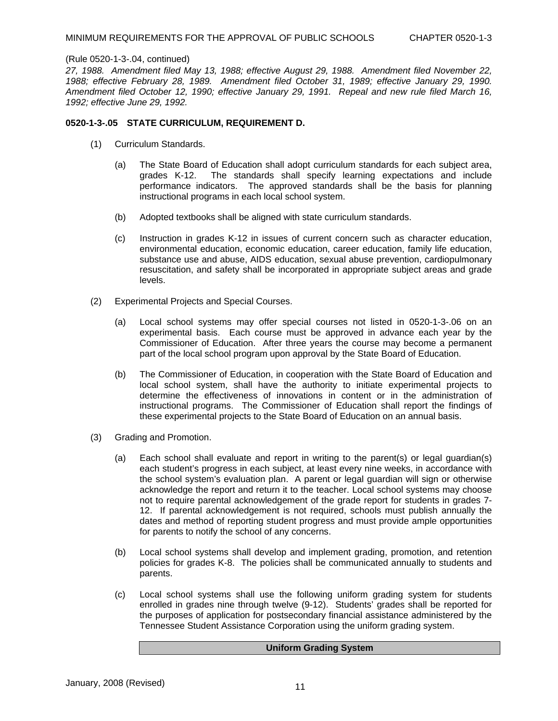*27, 1988. Amendment filed May 13, 1988; effective August 29, 1988. Amendment filed November 22, 1988; effective February 28, 1989. Amendment filed October 31, 1989; effective January 29, 1990. Amendment filed October 12, 1990; effective January 29, 1991. Repeal and new rule filed March 16, 1992; effective June 29, 1992.* 

### **0520-1-3-.05 STATE CURRICULUM, REQUIREMENT D.**

- (1) Curriculum Standards.
	- (a) The State Board of Education shall adopt curriculum standards for each subject area, grades K-12. The standards shall specify learning expectations and include performance indicators. The approved standards shall be the basis for planning instructional programs in each local school system.
	- (b) Adopted textbooks shall be aligned with state curriculum standards.
	- (c) Instruction in grades K-12 in issues of current concern such as character education, environmental education, economic education, career education, family life education, substance use and abuse, AIDS education, sexual abuse prevention, cardiopulmonary resuscitation, and safety shall be incorporated in appropriate subject areas and grade levels.
- (2) Experimental Projects and Special Courses.
	- (a) Local school systems may offer special courses not listed in 0520-1-3-.06 on an experimental basis. Each course must be approved in advance each year by the Commissioner of Education. After three years the course may become a permanent part of the local school program upon approval by the State Board of Education.
	- (b) The Commissioner of Education, in cooperation with the State Board of Education and local school system, shall have the authority to initiate experimental projects to determine the effectiveness of innovations in content or in the administration of instructional programs. The Commissioner of Education shall report the findings of these experimental projects to the State Board of Education on an annual basis.
- (3) Grading and Promotion.
	- (a) Each school shall evaluate and report in writing to the parent(s) or legal guardian(s) each student's progress in each subject, at least every nine weeks, in accordance with the school system's evaluation plan. A parent or legal guardian will sign or otherwise acknowledge the report and return it to the teacher. Local school systems may choose not to require parental acknowledgement of the grade report for students in grades 7- 12. If parental acknowledgement is not required, schools must publish annually the dates and method of reporting student progress and must provide ample opportunities for parents to notify the school of any concerns.
	- (b) Local school systems shall develop and implement grading, promotion, and retention policies for grades K-8. The policies shall be communicated annually to students and parents.
	- (c) Local school systems shall use the following uniform grading system for students enrolled in grades nine through twelve (9-12). Students' grades shall be reported for the purposes of application for postsecondary financial assistance administered by the Tennessee Student Assistance Corporation using the uniform grading system.

#### **Uniform Grading System**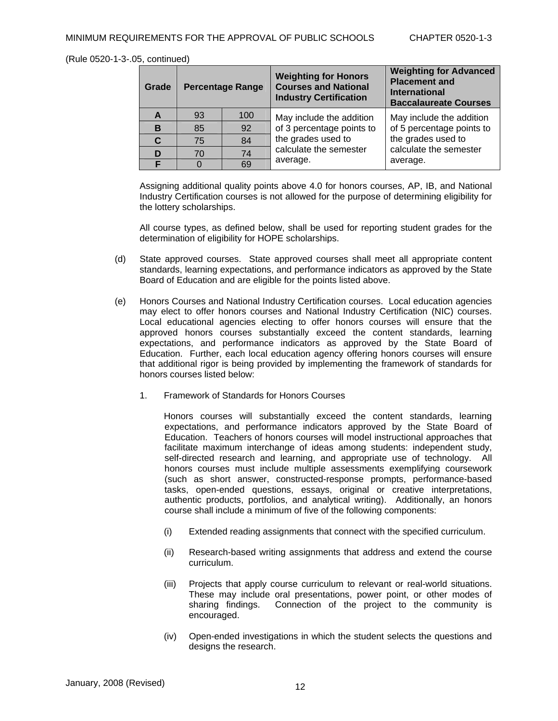| Grade | <b>Percentage Range</b> |     | <b>Weighting for Honors</b><br><b>Courses and National</b><br><b>Industry Certification</b> | <b>Weighting for Advanced</b><br><b>Placement and</b><br><b>International</b><br><b>Baccalaureate Courses</b> |
|-------|-------------------------|-----|---------------------------------------------------------------------------------------------|---------------------------------------------------------------------------------------------------------------|
| A     | 93                      | 100 | May include the addition                                                                    | May include the addition                                                                                      |
| в     | 85                      | 92  | of 3 percentage points to<br>the grades used to<br>calculate the semester<br>average.       | of 5 percentage points to<br>the grades used to<br>calculate the semester<br>average.                         |
| C.    | 75                      | 84  |                                                                                             |                                                                                                               |
| D     | 70                      | 74  |                                                                                             |                                                                                                               |
| E     |                         | 69  |                                                                                             |                                                                                                               |

 Assigning additional quality points above 4.0 for honors courses, AP, IB, and National Industry Certification courses is not allowed for the purpose of determining eligibility for the lottery scholarships.

 All course types, as defined below, shall be used for reporting student grades for the determination of eligibility for HOPE scholarships.

- (d) State approved courses. State approved courses shall meet all appropriate content standards, learning expectations, and performance indicators as approved by the State Board of Education and are eligible for the points listed above.
- (e) Honors Courses and National Industry Certification courses. Local education agencies may elect to offer honors courses and National Industry Certification (NIC) courses. Local educational agencies electing to offer honors courses will ensure that the approved honors courses substantially exceed the content standards, learning expectations, and performance indicators as approved by the State Board of Education. Further, each local education agency offering honors courses will ensure that additional rigor is being provided by implementing the framework of standards for honors courses listed below:
	- 1. Framework of Standards for Honors Courses

 Honors courses will substantially exceed the content standards, learning expectations, and performance indicators approved by the State Board of Education. Teachers of honors courses will model instructional approaches that facilitate maximum interchange of ideas among students: independent study, self-directed research and learning, and appropriate use of technology. All honors courses must include multiple assessments exemplifying coursework (such as short answer, constructed-response prompts, performance-based tasks, open-ended questions, essays, original or creative interpretations, authentic products, portfolios, and analytical writing). Additionally, an honors course shall include a minimum of five of the following components:

- (i) Extended reading assignments that connect with the specified curriculum.
- (ii) Research-based writing assignments that address and extend the course curriculum.
- (iii) Projects that apply course curriculum to relevant or real-world situations. These may include oral presentations, power point, or other modes of sharing findings. Connection of the project to the community is encouraged.
- (iv) Open-ended investigations in which the student selects the questions and designs the research.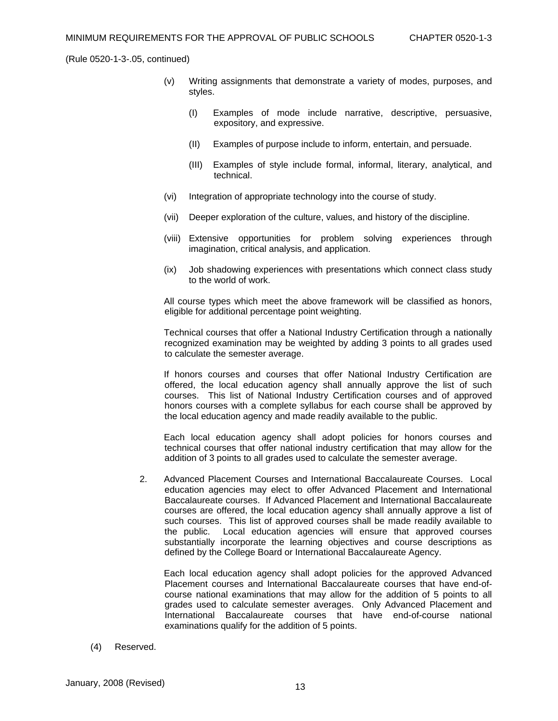- (v) Writing assignments that demonstrate a variety of modes, purposes, and styles.
	- (I) Examples of mode include narrative, descriptive, persuasive, expository, and expressive.
	- (II) Examples of purpose include to inform, entertain, and persuade.
	- (III) Examples of style include formal, informal, literary, analytical, and technical.
- (vi) Integration of appropriate technology into the course of study.
- (vii) Deeper exploration of the culture, values, and history of the discipline.
- (viii) Extensive opportunities for problem solving experiences through imagination, critical analysis, and application.
- (ix) Job shadowing experiences with presentations which connect class study to the world of work.

 All course types which meet the above framework will be classified as honors, eligible for additional percentage point weighting.

 Technical courses that offer a National Industry Certification through a nationally recognized examination may be weighted by adding 3 points to all grades used to calculate the semester average.

 If honors courses and courses that offer National Industry Certification are offered, the local education agency shall annually approve the list of such courses. This list of National Industry Certification courses and of approved honors courses with a complete syllabus for each course shall be approved by the local education agency and made readily available to the public.

 Each local education agency shall adopt policies for honors courses and technical courses that offer national industry certification that may allow for the addition of 3 points to all grades used to calculate the semester average.

2. Advanced Placement Courses and International Baccalaureate Courses. Local education agencies may elect to offer Advanced Placement and International Baccalaureate courses. If Advanced Placement and International Baccalaureate courses are offered, the local education agency shall annually approve a list of such courses. This list of approved courses shall be made readily available to the public. Local education agencies will ensure that approved courses substantially incorporate the learning objectives and course descriptions as defined by the College Board or International Baccalaureate Agency.

 Each local education agency shall adopt policies for the approved Advanced Placement courses and International Baccalaureate courses that have end-ofcourse national examinations that may allow for the addition of 5 points to all grades used to calculate semester averages. Only Advanced Placement and International Baccalaureate courses that have end-of-course national examinations qualify for the addition of 5 points.

(4) Reserved.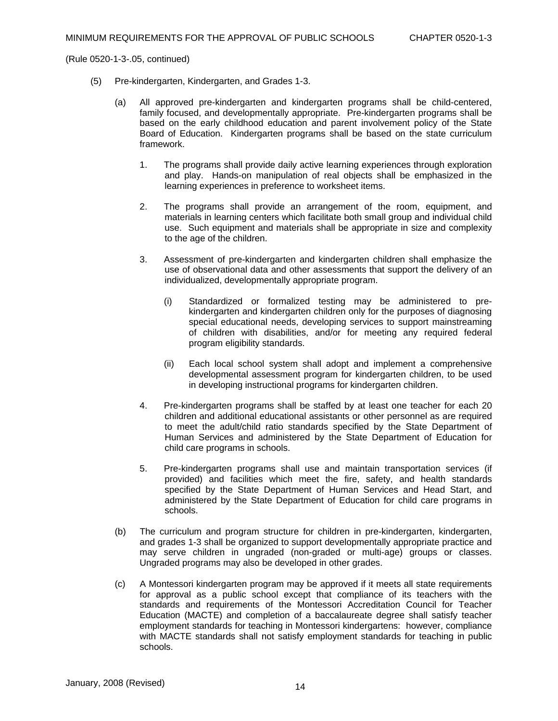- (5) Pre-kindergarten, Kindergarten, and Grades 1-3.
	- (a) All approved pre-kindergarten and kindergarten programs shall be child-centered, family focused, and developmentally appropriate. Pre-kindergarten programs shall be based on the early childhood education and parent involvement policy of the State Board of Education. Kindergarten programs shall be based on the state curriculum framework.
		- 1. The programs shall provide daily active learning experiences through exploration and play. Hands-on manipulation of real objects shall be emphasized in the learning experiences in preference to worksheet items.
		- 2. The programs shall provide an arrangement of the room, equipment, and materials in learning centers which facilitate both small group and individual child use. Such equipment and materials shall be appropriate in size and complexity to the age of the children.
		- 3. Assessment of pre-kindergarten and kindergarten children shall emphasize the use of observational data and other assessments that support the delivery of an individualized, developmentally appropriate program.
			- (i) Standardized or formalized testing may be administered to prekindergarten and kindergarten children only for the purposes of diagnosing special educational needs, developing services to support mainstreaming of children with disabilities, and/or for meeting any required federal program eligibility standards.
			- (ii) Each local school system shall adopt and implement a comprehensive developmental assessment program for kindergarten children, to be used in developing instructional programs for kindergarten children.
		- 4. Pre-kindergarten programs shall be staffed by at least one teacher for each 20 children and additional educational assistants or other personnel as are required to meet the adult/child ratio standards specified by the State Department of Human Services and administered by the State Department of Education for child care programs in schools.
		- 5. Pre-kindergarten programs shall use and maintain transportation services (if provided) and facilities which meet the fire, safety, and health standards specified by the State Department of Human Services and Head Start, and administered by the State Department of Education for child care programs in schools.
	- (b) The curriculum and program structure for children in pre-kindergarten, kindergarten, and grades 1-3 shall be organized to support developmentally appropriate practice and may serve children in ungraded (non-graded or multi-age) groups or classes. Ungraded programs may also be developed in other grades.
	- (c) A Montessori kindergarten program may be approved if it meets all state requirements for approval as a public school except that compliance of its teachers with the standards and requirements of the Montessori Accreditation Council for Teacher Education (MACTE) and completion of a baccalaureate degree shall satisfy teacher employment standards for teaching in Montessori kindergartens: however, compliance with MACTE standards shall not satisfy employment standards for teaching in public schools.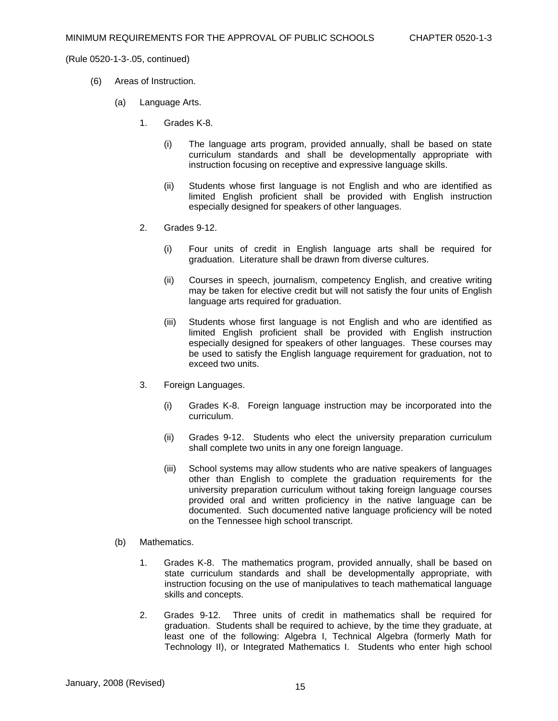- (6) Areas of Instruction.
	- (a) Language Arts.
		- 1. Grades K-8.
			- (i) The language arts program, provided annually, shall be based on state curriculum standards and shall be developmentally appropriate with instruction focusing on receptive and expressive language skills.
			- (ii) Students whose first language is not English and who are identified as limited English proficient shall be provided with English instruction especially designed for speakers of other languages.
		- 2. Grades 9-12.
			- (i) Four units of credit in English language arts shall be required for graduation. Literature shall be drawn from diverse cultures.
			- (ii) Courses in speech, journalism, competency English, and creative writing may be taken for elective credit but will not satisfy the four units of English language arts required for graduation.
			- (iii) Students whose first language is not English and who are identified as limited English proficient shall be provided with English instruction especially designed for speakers of other languages. These courses may be used to satisfy the English language requirement for graduation, not to exceed two units.
		- 3. Foreign Languages.
			- (i) Grades K-8. Foreign language instruction may be incorporated into the curriculum.
			- (ii) Grades 9-12. Students who elect the university preparation curriculum shall complete two units in any one foreign language.
			- (iii) School systems may allow students who are native speakers of languages other than English to complete the graduation requirements for the university preparation curriculum without taking foreign language courses provided oral and written proficiency in the native language can be documented. Such documented native language proficiency will be noted on the Tennessee high school transcript.
	- (b) Mathematics.
		- 1. Grades K-8. The mathematics program, provided annually, shall be based on state curriculum standards and shall be developmentally appropriate, with instruction focusing on the use of manipulatives to teach mathematical language skills and concepts.
		- 2. Grades 9-12. Three units of credit in mathematics shall be required for graduation. Students shall be required to achieve, by the time they graduate, at least one of the following: Algebra I, Technical Algebra (formerly Math for Technology II), or Integrated Mathematics I. Students who enter high school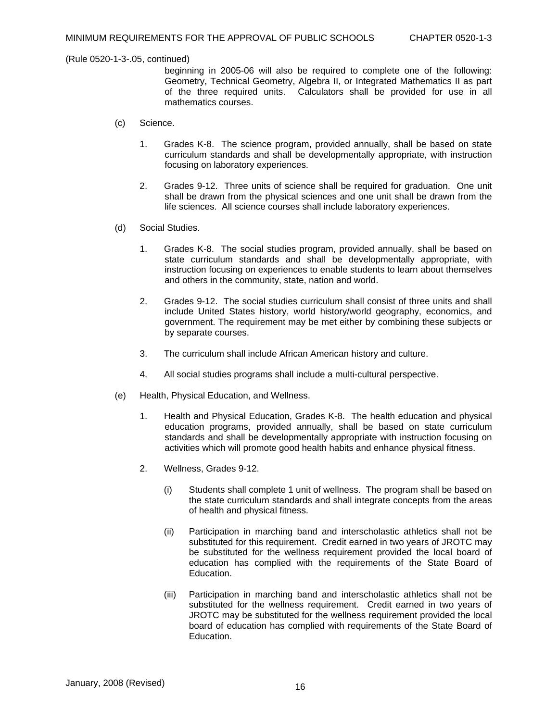beginning in 2005-06 will also be required to complete one of the following: Geometry, Technical Geometry, Algebra II, or Integrated Mathematics II as part of the three required units. Calculators shall be provided for use in all mathematics courses.

- (c) Science.
	- 1. Grades K-8. The science program, provided annually, shall be based on state curriculum standards and shall be developmentally appropriate, with instruction focusing on laboratory experiences.
	- 2. Grades 9-12. Three units of science shall be required for graduation. One unit shall be drawn from the physical sciences and one unit shall be drawn from the life sciences. All science courses shall include laboratory experiences.
- (d) Social Studies.
	- 1. Grades K-8. The social studies program, provided annually, shall be based on state curriculum standards and shall be developmentally appropriate, with instruction focusing on experiences to enable students to learn about themselves and others in the community, state, nation and world.
	- 2. Grades 9-12. The social studies curriculum shall consist of three units and shall include United States history, world history/world geography, economics, and government. The requirement may be met either by combining these subjects or by separate courses.
	- 3. The curriculum shall include African American history and culture.
	- 4. All social studies programs shall include a multi-cultural perspective.
- (e) Health, Physical Education, and Wellness.
	- 1. Health and Physical Education, Grades K-8. The health education and physical education programs, provided annually, shall be based on state curriculum standards and shall be developmentally appropriate with instruction focusing on activities which will promote good health habits and enhance physical fitness.
	- 2. Wellness, Grades 9-12.
		- (i) Students shall complete 1 unit of wellness. The program shall be based on the state curriculum standards and shall integrate concepts from the areas of health and physical fitness.
		- (ii) Participation in marching band and interscholastic athletics shall not be substituted for this requirement. Credit earned in two years of JROTC may be substituted for the wellness requirement provided the local board of education has complied with the requirements of the State Board of **Education**
		- (iii) Participation in marching band and interscholastic athletics shall not be substituted for the wellness requirement. Credit earned in two years of JROTC may be substituted for the wellness requirement provided the local board of education has complied with requirements of the State Board of Education.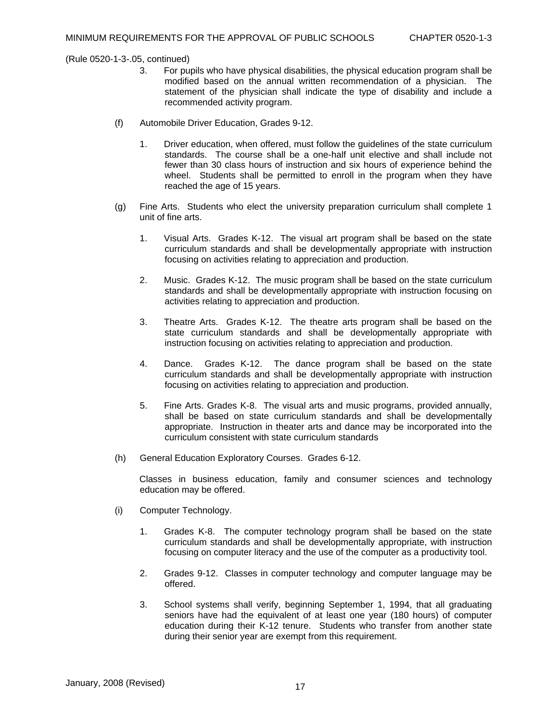- 3. For pupils who have physical disabilities, the physical education program shall be modified based on the annual written recommendation of a physician. The statement of the physician shall indicate the type of disability and include a recommended activity program.
- (f) Automobile Driver Education, Grades 9-12.
	- 1. Driver education, when offered, must follow the guidelines of the state curriculum standards. The course shall be a one-half unit elective and shall include not fewer than 30 class hours of instruction and six hours of experience behind the wheel. Students shall be permitted to enroll in the program when they have reached the age of 15 years.
- (g) Fine Arts. Students who elect the university preparation curriculum shall complete 1 unit of fine arts.
	- 1. Visual Arts. Grades K-12. The visual art program shall be based on the state curriculum standards and shall be developmentally appropriate with instruction focusing on activities relating to appreciation and production.
	- 2. Music. Grades K-12. The music program shall be based on the state curriculum standards and shall be developmentally appropriate with instruction focusing on activities relating to appreciation and production.
	- 3. Theatre Arts. Grades K-12. The theatre arts program shall be based on the state curriculum standards and shall be developmentally appropriate with instruction focusing on activities relating to appreciation and production.
	- 4. Dance. Grades K-12. The dance program shall be based on the state curriculum standards and shall be developmentally appropriate with instruction focusing on activities relating to appreciation and production.
	- 5. Fine Arts. Grades K-8. The visual arts and music programs, provided annually, shall be based on state curriculum standards and shall be developmentally appropriate. Instruction in theater arts and dance may be incorporated into the curriculum consistent with state curriculum standards
- (h) General Education Exploratory Courses. Grades 6-12.

Classes in business education, family and consumer sciences and technology education may be offered.

- (i) Computer Technology.
	- 1. Grades K-8. The computer technology program shall be based on the state curriculum standards and shall be developmentally appropriate, with instruction focusing on computer literacy and the use of the computer as a productivity tool.
	- 2. Grades 9-12. Classes in computer technology and computer language may be offered.
	- 3. School systems shall verify, beginning September 1, 1994, that all graduating seniors have had the equivalent of at least one year (180 hours) of computer education during their K-12 tenure. Students who transfer from another state during their senior year are exempt from this requirement.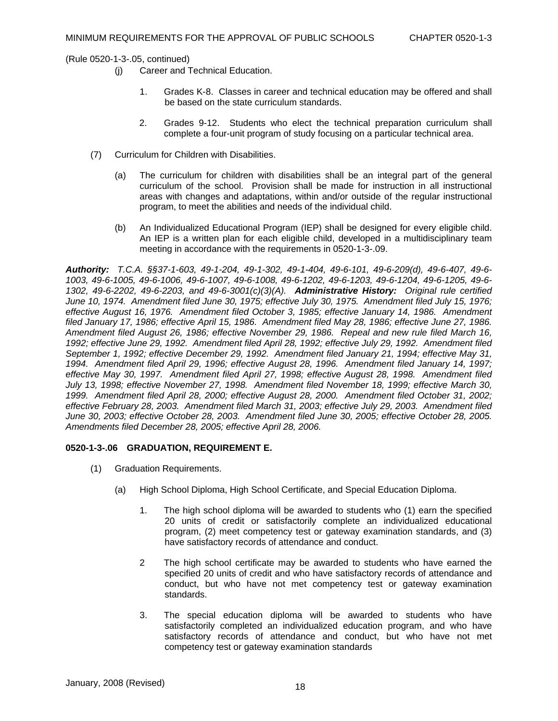- (j) Career and Technical Education.
	- 1. Grades K-8. Classes in career and technical education may be offered and shall be based on the state curriculum standards.
	- 2. Grades 9-12. Students who elect the technical preparation curriculum shall complete a four-unit program of study focusing on a particular technical area.
- (7) Curriculum for Children with Disabilities.
	- (a) The curriculum for children with disabilities shall be an integral part of the general curriculum of the school. Provision shall be made for instruction in all instructional areas with changes and adaptations, within and/or outside of the regular instructional program, to meet the abilities and needs of the individual child.
	- (b) An Individualized Educational Program (IEP) shall be designed for every eligible child. An IEP is a written plan for each eligible child, developed in a multidisciplinary team meeting in accordance with the requirements in 0520-1-3-.09.

*Authority: T.C.A. §§37-1-603, 49-1-204, 49-1-302, 49-1-404, 49-6-101, 49-6-209(d), 49-6-407, 49-6- 1003, 49-6-1005, 49-6-1006, 49-6-1007, 49-6-1008, 49-6-1202, 49-6-1203, 49-6-1204, 49-6-1205, 49-6- 1302, 49-6-2202, 49-6-2203, and 49-6-3001(c)(3)(A). Administrative History: Original rule certified June 10, 1974. Amendment filed June 30, 1975; effective July 30, 1975. Amendment filed July 15, 1976; effective August 16, 1976. Amendment filed October 3, 1985; effective January 14, 1986. Amendment filed January 17, 1986; effective April 15, 1986. Amendment filed May 28, 1986; effective June 27, 1986. Amendment filed August 26, 1986; effective November 29, 1986. Repeal and new rule filed March 16, 1992; effective June 29, 1992. Amendment filed April 28, 1992; effective July 29, 1992. Amendment filed September 1, 1992; effective December 29, 1992. Amendment filed January 21, 1994; effective May 31, 1994. Amendment filed April 29, 1996; effective August 28, 1996. Amendment filed January 14, 1997; effective May 30, 1997. Amendment filed April 27, 1998; effective August 28, 1998. Amendment filed July 13, 1998; effective November 27, 1998. Amendment filed November 18, 1999; effective March 30, 1999. Amendment filed April 28, 2000; effective August 28, 2000. Amendment filed October 31, 2002; effective February 28, 2003. Amendment filed March 31, 2003; effective July 29, 2003. Amendment filed June 30, 2003; effective October 28, 2003. Amendment filed June 30, 2005; effective October 28, 2005. Amendments filed December 28, 2005; effective April 28, 2006.* 

## **0520-1-3-.06 GRADUATION, REQUIREMENT E.**

- (1) Graduation Requirements.
	- (a) High School Diploma, High School Certificate, and Special Education Diploma.
		- 1. The high school diploma will be awarded to students who (1) earn the specified 20 units of credit or satisfactorily complete an individualized educational program, (2) meet competency test or gateway examination standards, and (3) have satisfactory records of attendance and conduct.
		- 2 The high school certificate may be awarded to students who have earned the specified 20 units of credit and who have satisfactory records of attendance and conduct, but who have not met competency test or gateway examination standards.
		- 3. The special education diploma will be awarded to students who have satisfactorily completed an individualized education program, and who have satisfactory records of attendance and conduct, but who have not met competency test or gateway examination standards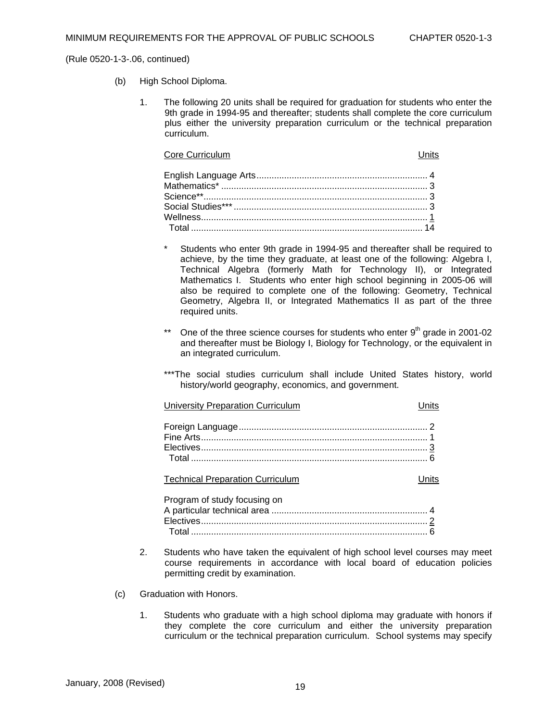- (b) High School Diploma.
	- 1. The following 20 units shall be required for graduation for students who enter the 9th grade in 1994-95 and thereafter; students shall complete the core curriculum plus either the university preparation curriculum or the technical preparation curriculum.

#### **Core Curriculum Core Curriculum** Units

- \* Students who enter 9th grade in 1994-95 and thereafter shall be required to achieve, by the time they graduate, at least one of the following: Algebra I, Technical Algebra (formerly Math for Technology II), or Integrated Mathematics I. Students who enter high school beginning in 2005-06 will also be required to complete one of the following: Geometry, Technical Geometry, Algebra II, or Integrated Mathematics II as part of the three required units.
- \*\* One of the three science courses for students who enter  $9<sup>th</sup>$  grade in 2001-02 and thereafter must be Biology I, Biology for Technology, or the equivalent in an integrated curriculum.
- \*\*\*The social studies curriculum shall include United States history, world history/world geography, economics, and government.

| <b>University Preparation Curriculum</b> | Units |
|------------------------------------------|-------|
|                                          |       |
|                                          |       |
|                                          |       |

**Technical Preparation Curriculum**  Technical Preparation Curriculum

| Program of study focusing on |  |
|------------------------------|--|
|                              |  |
|                              |  |
|                              |  |

- 2. Students who have taken the equivalent of high school level courses may meet course requirements in accordance with local board of education policies permitting credit by examination.
- (c) Graduation with Honors.
	- 1. Students who graduate with a high school diploma may graduate with honors if they complete the core curriculum and either the university preparation curriculum or the technical preparation curriculum. School systems may specify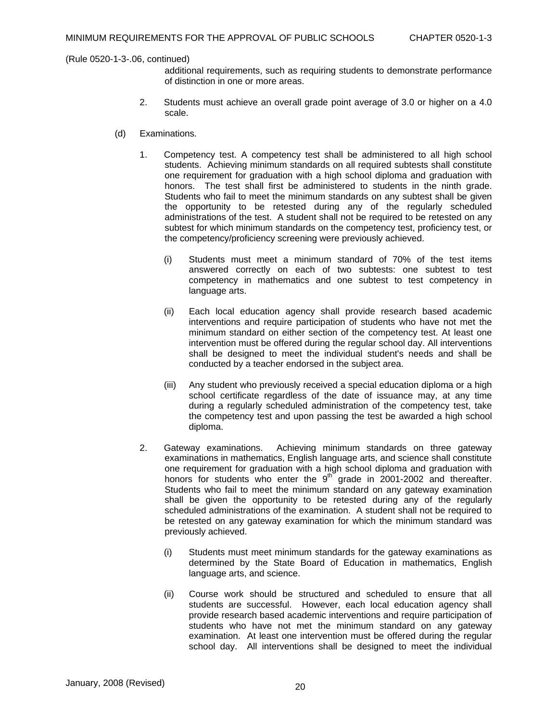additional requirements, such as requiring students to demonstrate performance of distinction in one or more areas.

- 2. Students must achieve an overall grade point average of 3.0 or higher on a 4.0 scale.
- (d) Examinations.
	- 1. Competency test. A competency test shall be administered to all high school students. Achieving minimum standards on all required subtests shall constitute one requirement for graduation with a high school diploma and graduation with honors. The test shall first be administered to students in the ninth grade. Students who fail to meet the minimum standards on any subtest shall be given the opportunity to be retested during any of the regularly scheduled administrations of the test. A student shall not be required to be retested on any subtest for which minimum standards on the competency test, proficiency test, or the competency/proficiency screening were previously achieved.
		- (i) Students must meet a minimum standard of 70% of the test items answered correctly on each of two subtests: one subtest to test competency in mathematics and one subtest to test competency in language arts.
		- (ii) Each local education agency shall provide research based academic interventions and require participation of students who have not met the minimum standard on either section of the competency test. At least one intervention must be offered during the regular school day. All interventions shall be designed to meet the individual student's needs and shall be conducted by a teacher endorsed in the subject area.
		- (iii) Any student who previously received a special education diploma or a high school certificate regardless of the date of issuance may, at any time during a regularly scheduled administration of the competency test, take the competency test and upon passing the test be awarded a high school diploma.
	- 2. Gateway examinations. Achieving minimum standards on three gateway examinations in mathematics, English language arts, and science shall constitute one requirement for graduation with a high school diploma and graduation with honors for students who enter the  $9^{th}$  grade in 2001-2002 and thereafter. Students who fail to meet the minimum standard on any gateway examination shall be given the opportunity to be retested during any of the regularly scheduled administrations of the examination. A student shall not be required to be retested on any gateway examination for which the minimum standard was previously achieved.
		- (i) Students must meet minimum standards for the gateway examinations as determined by the State Board of Education in mathematics, English language arts, and science.
		- (ii) Course work should be structured and scheduled to ensure that all students are successful. However, each local education agency shall provide research based academic interventions and require participation of students who have not met the minimum standard on any gateway examination. At least one intervention must be offered during the regular school day. All interventions shall be designed to meet the individual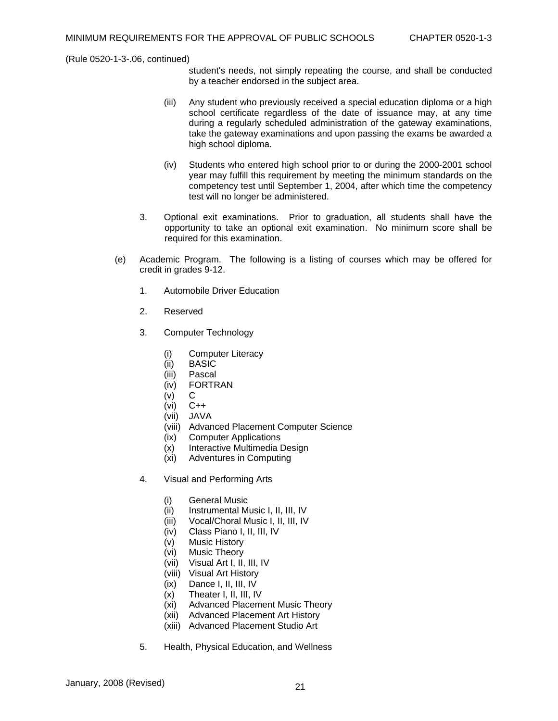student's needs, not simply repeating the course, and shall be conducted by a teacher endorsed in the subject area.

- (iii) Any student who previously received a special education diploma or a high school certificate regardless of the date of issuance may, at any time during a regularly scheduled administration of the gateway examinations, take the gateway examinations and upon passing the exams be awarded a high school diploma.
- (iv) Students who entered high school prior to or during the 2000-2001 school year may fulfill this requirement by meeting the minimum standards on the competency test until September 1, 2004, after which time the competency test will no longer be administered.
- 3. Optional exit examinations. Prior to graduation, all students shall have the opportunity to take an optional exit examination. No minimum score shall be required for this examination.
- (e) Academic Program. The following is a listing of courses which may be offered for credit in grades 9-12.
	- 1. Automobile Driver Education
	- 2. Reserved
	- 3. Computer Technology
		- (i) Computer Literacy
		- (ii) BASIC
		- (iii) Pascal
		- (iv) FORTRAN
		- $(v)$  C
		- (vi) C++
		- (vii) JAVA
		- (viii) Advanced Placement Computer Science
		- (ix) Computer Applications
		- (x) Interactive Multimedia Design
		- (xi) Adventures in Computing
	- 4. Visual and Performing Arts
		- (i) General Music
		- (ii) Instrumental Music I, II, III, IV
		- (iii) Vocal/Choral Music I, II, III, IV
		- (iv) Class Piano I, II, III, IV
		- (v) Music History
		- (vi) Music Theory
		- (vii) Visual Art I, II, III, IV
		- (viii) Visual Art History
		- (ix) Dance I, II, III, IV
		- (x) Theater I, II, III, IV
		- (xi) Advanced Placement Music Theory
		- (xii) Advanced Placement Art History
		- (xiii) Advanced Placement Studio Art
	- 5. Health, Physical Education, and Wellness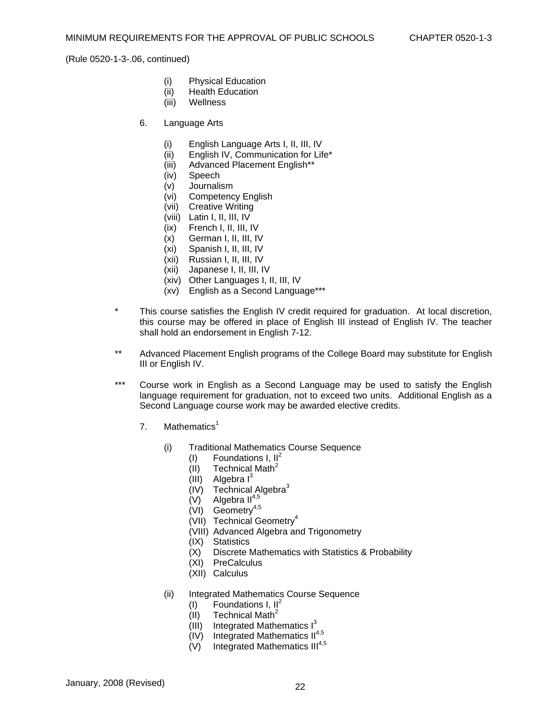- (i) Physical Education
- (ii) Health Education
- (iii) Wellness
- 6. Language Arts
	- (i) English Language Arts I, II, III, IV
	- (ii) English IV, Communication for Life\*
	- (iii) Advanced Placement English\*\*
	- (iv) Speech
	- (v) Journalism
	- (vi) Competency English
	- (vii) Creative Writing
	- (viii) Latin I, II, III, IV
	- (ix) French I, II, III, IV
	- (x) German I, II, III, IV
	- (xi) Spanish I, II, III, IV
	- (xii) Russian I, II, III, IV
	- (xii) Japanese I, II, III, IV
	- (xiv) Other Languages I, II, III, IV
	- (xv) English as a Second Language\*\*\*
- \* This course satisfies the English IV credit required for graduation. At local discretion, this course may be offered in place of English III instead of English IV. The teacher shall hold an endorsement in English 7-12.
- \*\* Advanced Placement English programs of the College Board may substitute for English III or English IV.
- \*\*\* Course work in English as a Second Language may be used to satisfy the English language requirement for graduation, not to exceed two units. Additional English as a Second Language course work may be awarded elective credits.
	- 7. Mathematics<sup>1</sup>
		- (i) Traditional Mathematics Course Sequence
			- (I) Foundations I,  $II^2$
			- $(II)$  Technical Math<sup>2</sup>
			- (III) Algebra  $I^3$
			- $(IV)$  Technical Algebra<sup>3</sup>
			- $(V)$  Algebra II<sup>4,5</sup>
			- (VI) Geometry<sup>4,5</sup>
			- (VII) Technical Geometry<sup>4</sup>
			- (VIII) Advanced Algebra and Trigonometry
			-
			- (IX) Statistics Discrete Mathematics with Statistics & Probability
			- (XI) PreCalculus
			- (XII) Calculus
		- (ii) Integrated Mathematics Course Sequence
			- (I) Foundations I,  $II^2$
			- (II) Technical Math<sup>2</sup>
			- $(III)$  Integrated Mathematics  $I<sup>3</sup>$
			- $(IV)$  Integrated Mathematics  $II^{4,5}$
			- (V) Integrated Mathematics  $III<sup>4,5</sup>$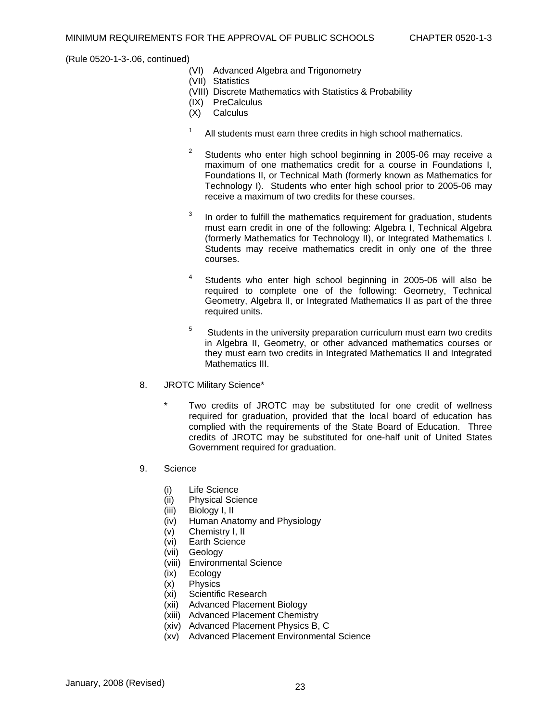- (VI) Advanced Algebra and Trigonometry
- (VII) Statistics
- (VIII) Discrete Mathematics with Statistics & Probability
- (IX) PreCalculus
- (X) Calculus
- 1 All students must earn three credits in high school mathematics.
- 2 Students who enter high school beginning in 2005-06 may receive a maximum of one mathematics credit for a course in Foundations I, Foundations II, or Technical Math (formerly known as Mathematics for Technology I). Students who enter high school prior to 2005-06 may receive a maximum of two credits for these courses.
- 3 In order to fulfill the mathematics requirement for graduation, students must earn credit in one of the following: Algebra I, Technical Algebra (formerly Mathematics for Technology II), or Integrated Mathematics I. Students may receive mathematics credit in only one of the three courses.
- 4 Students who enter high school beginning in 2005-06 will also be required to complete one of the following: Geometry, Technical Geometry, Algebra II, or Integrated Mathematics II as part of the three required units.
- 5 Students in the university preparation curriculum must earn two credits in Algebra II, Geometry, or other advanced mathematics courses or they must earn two credits in Integrated Mathematics II and Integrated Mathematics III.
- 8. JROTC Military Science\*
	- Two credits of JROTC may be substituted for one credit of wellness required for graduation, provided that the local board of education has complied with the requirements of the State Board of Education. Three credits of JROTC may be substituted for one-half unit of United States Government required for graduation.
- 9. Science
	- (i) Life Science
	- (ii) Physical Science
	- (iii) Biology I, II
	- (iv) Human Anatomy and Physiology
	- (v) Chemistry I, II
	- (vi) Earth Science
	- (vii) Geology
	- (viii) Environmental Science
	- (ix) Ecology
	- (x) Physics
	- (xi) Scientific Research
	- (xii) Advanced Placement Biology
	- (xiii) Advanced Placement Chemistry
	- (xiv) Advanced Placement Physics B, C
	- (xv) Advanced Placement Environmental Science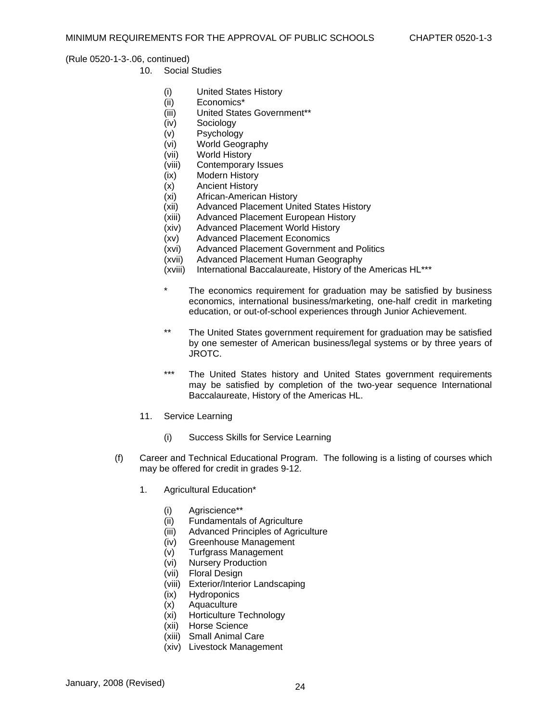- 10. Social Studies
	- (i) United States History
	- (ii) Economics\*
	- (iii) United States Government\*\*
	- (iv) Sociology
	- (v) Psychology
	- (vi) World Geography
	- (vii) World History
	- (viii) Contemporary Issues
	- (ix) Modern History
	- (x) Ancient History
	- (xi) African-American History
	- (xii) Advanced Placement United States History
	- (xiii) Advanced Placement European History
	- (xiv) Advanced Placement World History
	- (xv) Advanced Placement Economics
	- (xvi) Advanced Placement Government and Politics
	- (xvii) Advanced Placement Human Geography
	- (xviii) International Baccalaureate, History of the Americas HL\*\*\*
	- The economics requirement for graduation may be satisfied by business economics, international business/marketing, one-half credit in marketing education, or out-of-school experiences through Junior Achievement.
	- \*\* The United States government requirement for graduation may be satisfied by one semester of American business/legal systems or by three years of JROTC.
	- \*\*\* The United States history and United States government requirements may be satisfied by completion of the two-year sequence International Baccalaureate, History of the Americas HL.
- 11. Service Learning
	- (i) Success Skills for Service Learning
- (f) Career and Technical Educational Program. The following is a listing of courses which may be offered for credit in grades 9-12.
	- 1. Agricultural Education\*
		- (i) Agriscience\*\*
		- (ii) Fundamentals of Agriculture
		- (iii) Advanced Principles of Agriculture
		- (iv) Greenhouse Management
		- (v) Turfgrass Management
		- (vi) Nursery Production
		- (vii) Floral Design
		- (viii) Exterior/Interior Landscaping
		- (ix) Hydroponics
		- (x) Aquaculture
		- (xi) Horticulture Technology
		- (xii) Horse Science
		- (xiii) Small Animal Care
		- (xiv) Livestock Management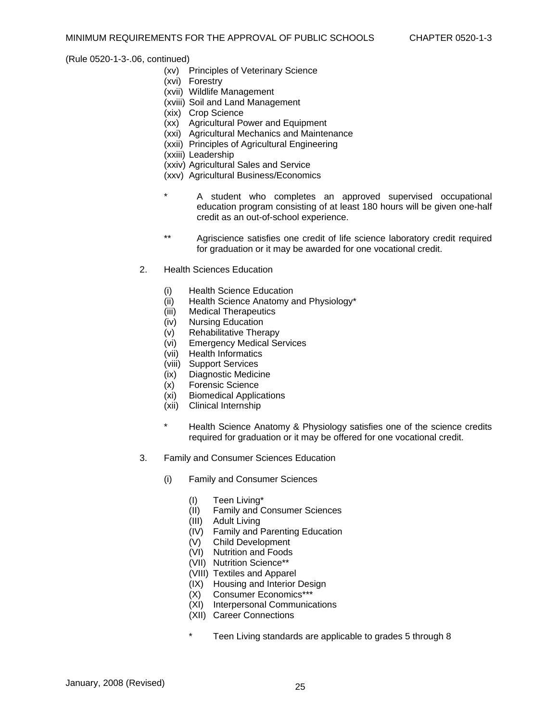- (xv) Principles of Veterinary Science
- (xvi) Forestry
- (xvii) Wildlife Management
- (xviii) Soil and Land Management
- (xix) Crop Science
- (xx) Agricultural Power and Equipment
- (xxi) Agricultural Mechanics and Maintenance
- (xxii) Principles of Agricultural Engineering
- (xxiii) Leadership
- (xxiv) Agricultural Sales and Service
- (xxv) Agricultural Business/Economics
- A student who completes an approved supervised occupational education program consisting of at least 180 hours will be given one-half credit as an out-of-school experience.
- \*\* Agriscience satisfies one credit of life science laboratory credit required for graduation or it may be awarded for one vocational credit.
- 2. Health Sciences Education
	- (i) Health Science Education
	- (ii) Health Science Anatomy and Physiology\*
	- (iii) Medical Therapeutics<br>(iv) Nursing Education
	- Nursing Education
	- (v) Rehabilitative Therapy
	- (vi) Emergency Medical Services
	- (vii) Health Informatics
	- (viii) Support Services
	- (ix) Diagnostic Medicine
	- (x) Forensic Science
	- (xi) Biomedical Applications
	- (xii) Clinical Internship
	- \* Health Science Anatomy & Physiology satisfies one of the science credits required for graduation or it may be offered for one vocational credit.
- 3. Family and Consumer Sciences Education
	- (i) Family and Consumer Sciences
		- (I) Teen Living\*
		- (II) Family and Consumer Sciences
		- (III) Adult Living
		- (IV) Family and Parenting Education
		- (V) Child Development
		- (VI) Nutrition and Foods
		- (VII) Nutrition Science\*\*
		- (VIII) Textiles and Apparel
		- (IX) Housing and Interior Design
		- (X) Consumer Economics\*\*\*
		- (XI) Interpersonal Communications
		- (XII) Career Connections
		- Teen Living standards are applicable to grades 5 through 8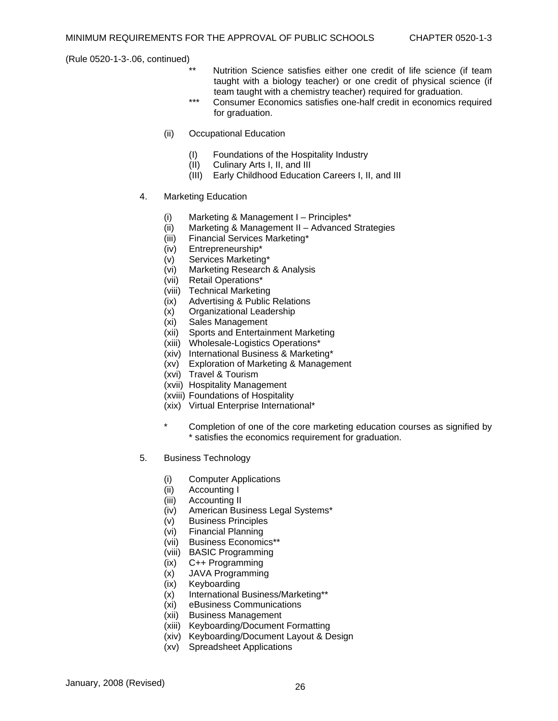- Nutrition Science satisfies either one credit of life science (if team taught with a biology teacher) or one credit of physical science (if team taught with a chemistry teacher) required for graduation.
- \*\*\* Consumer Economics satisfies one-half credit in economics required for graduation.
- (ii) Occupational Education
	- (I) Foundations of the Hospitality Industry
	- Culinary Arts I, II, and III
	- (III) Early Childhood Education Careers I, II, and III
- 4. Marketing Education
	- (i) Marketing & Management I Principles\*
	- (ii) Marketing & Management II Advanced Strategies
	- (iii) Financial Services Marketing\*
	- (iv) Entrepreneurship\*
	- (v) Services Marketing\*
	- (vi) Marketing Research & Analysis
	- (vii) Retail Operations\*
	- (viii) Technical Marketing
	- (ix) Advertising & Public Relations<br>(x) Organizational Leadership
	- (x) Organizational Leadership
	- (xi) Sales Management
	- (xii) Sports and Entertainment Marketing
	- (xiii) Wholesale-Logistics Operations\*
	- (xiv) International Business & Marketing\*
	- (xv) Exploration of Marketing & Management
	- (xvi) Travel & Tourism
	- (xvii) Hospitality Management
	- (xviii) Foundations of Hospitality
	- (xix) Virtual Enterprise International\*
	- \* Completion of one of the core marketing education courses as signified by \* satisfies the economics requirement for graduation.
- 5. Business Technology
	- (i) Computer Applications
	- (ii) Accounting I
	- (iii) Accounting II
	- (iv) American Business Legal Systems\*
	- (v) Business Principles
	- (vi) Financial Planning
	- (vii) Business Economics\*\*
	- (viii) BASIC Programming
	- (ix) C++ Programming
	- (x) JAVA Programming
	- (ix) Keyboarding
	- (x) International Business/Marketing\*\*
	- (xi) eBusiness Communications
	- (xii) Business Management
	- (xiii) Keyboarding/Document Formatting
	- (xiv) Keyboarding/Document Layout & Design
	- (xv) Spreadsheet Applications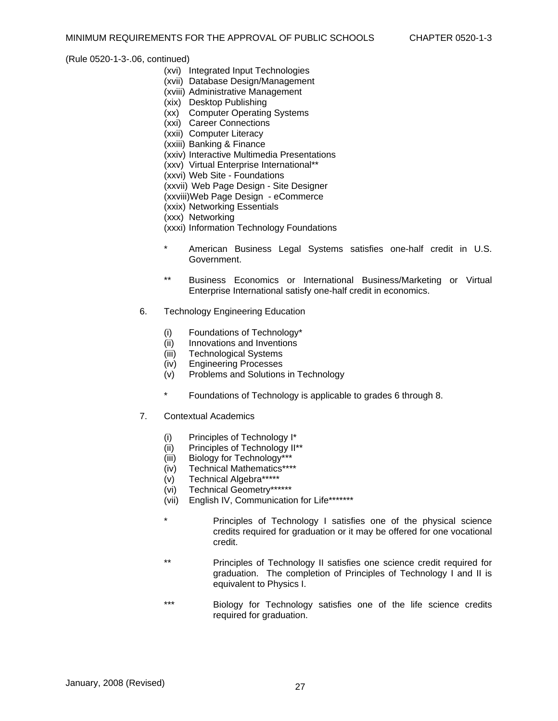- (xvi) Integrated Input Technologies
- (xvii) Database Design/Management
- (xviii) Administrative Management
- (xix) Desktop Publishing
- (xx) Computer Operating Systems
- (xxi) Career Connections
- (xxii) Computer Literacy
- (xxiii) Banking & Finance
- (xxiv) Interactive Multimedia Presentations
- (xxv) Virtual Enterprise International\*\*
- (xxvi) Web Site Foundations
- (xxvii) Web Page Design Site Designer
- (xxviii)Web Page Design eCommerce
- (xxix) Networking Essentials
- (xxx) Networking
- (xxxi) Information Technology Foundations
- \* American Business Legal Systems satisfies one-half credit in U.S. Government.
- \*\* Business Economics or International Business/Marketing or Virtual Enterprise International satisfy one-half credit in economics.
- 6. Technology Engineering Education
	- (i) Foundations of Technology\*
	- (ii) Innovations and Inventions
	- (iii) Technological Systems
	- (iv) Engineering Processes
	- (v) Problems and Solutions in Technology
	- \* Foundations of Technology is applicable to grades 6 through 8.
- 7. Contextual Academics
	- (i) Principles of Technology I\*
	- (ii) Principles of Technology II\*\*
	- (iii) Biology for Technology\*\*\*
	- (iv) Technical Mathematics\*\*\*\*
	- (v) Technical Algebra\*\*\*\*\*
	- (vi) Technical Geometry\*\*\*\*\*\*
	- (vii) English IV, Communication for Life\*\*\*\*\*\*\*
	- Principles of Technology I satisfies one of the physical science credits required for graduation or it may be offered for one vocational credit.
	- \*\* Principles of Technology II satisfies one science credit required for graduation. The completion of Principles of Technology I and II is equivalent to Physics I.
	- \*\*\* Biology for Technology satisfies one of the life science credits required for graduation.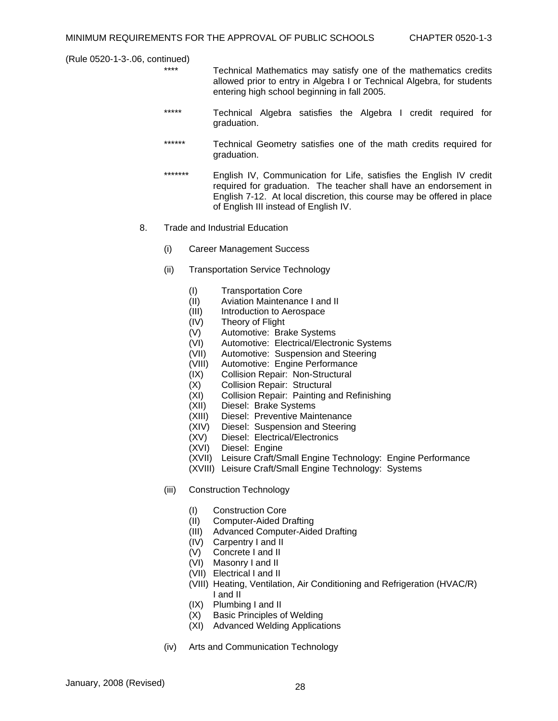- \*\*\*\* Technical Mathematics may satisfy one of the mathematics credits allowed prior to entry in Algebra I or Technical Algebra, for students entering high school beginning in fall 2005.
- \*\*\*\*\* Technical Algebra satisfies the Algebra I credit required for graduation.
- \*\*\*\*\*\* Technical Geometry satisfies one of the math credits required for graduation.
- \*\*\*\*\*\*\* English IV, Communication for Life, satisfies the English IV credit required for graduation. The teacher shall have an endorsement in English 7-12. At local discretion, this course may be offered in place of English III instead of English IV.
- 8. Trade and Industrial Education
	- (i) Career Management Success
	- (ii) Transportation Service Technology
		- (I) Transportation Core
		- (II) Aviation Maintenance I and II
		- (III) Introduction to Aerospace
		- (IV) Theory of Flight
		- (V) Automotive: Brake Systems
		- (VI) Automotive: Electrical/Electronic Systems
		- (VII) Automotive: Suspension and Steering
		- (VIII) Automotive: Engine Performance
		- (IX) Collision Repair: Non-Structural
		- (X) Collision Repair: Structural
		- (XI) Collision Repair: Painting and Refinishing
		- (XII) Diesel: Brake Systems
		- (XIII) Diesel: Preventive Maintenance
		- (XIV) Diesel: Suspension and Steering
		- (XV) Diesel: Electrical/Electronics
		- (XVI) Diesel: Engine
		- (XVII) Leisure Craft/Small Engine Technology: Engine Performance
		- (XVIII) Leisure Craft/Small Engine Technology: Systems
	- (iii) Construction Technology
		- (I) Construction Core
		- (II) Computer-Aided Drafting
		- (III) Advanced Computer-Aided Drafting
		- (IV) Carpentry I and II
		- (V) Concrete I and II
		- (VI) Masonry I and II
		- (VII) Electrical I and II
		- (VIII) Heating, Ventilation, Air Conditioning and Refrigeration (HVAC/R) I and II
		- (IX) Plumbing I and II
		- (X) Basic Principles of Welding
		- (XI) Advanced Welding Applications
	- (iv) Arts and Communication Technology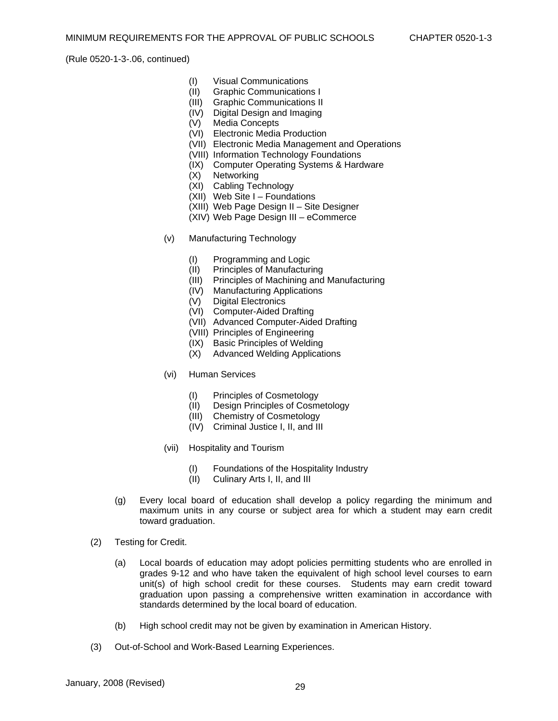- (I) Visual Communications
- (II) Graphic Communications I
- (III) Graphic Communications II
- (IV) Digital Design and Imaging
- (V) Media Concepts
- (VI) Electronic Media Production
- (VII) Electronic Media Management and Operations
- (VIII) Information Technology Foundations
- (IX) Computer Operating Systems & Hardware
- (X) Networking
- (XI) Cabling Technology
- $(XI)$  Web Site I Foundations
- (XIII) Web Page Design II Site Designer
- (XIV) Web Page Design III eCommerce
- (v) Manufacturing Technology
	- (I) Programming and Logic
	- (II) Principles of Manufacturing
	- (III) Principles of Machining and Manufacturing
	- (IV) Manufacturing Applications
	- (V) Digital Electronics
	- (VI) Computer-Aided Drafting
	- (VII) Advanced Computer-Aided Drafting
	- (VIII) Principles of Engineering
	- (IX) Basic Principles of Welding
	- (X) Advanced Welding Applications
- (vi) Human Services
	- (I) Principles of Cosmetology
	- (II) Design Principles of Cosmetology
	- (III) Chemistry of Cosmetology
	- (IV) Criminal Justice I, II, and III
- (vii) Hospitality and Tourism
	- (I) Foundations of the Hospitality Industry
	- (II) Culinary Arts I, II, and III
- (g) Every local board of education shall develop a policy regarding the minimum and maximum units in any course or subject area for which a student may earn credit toward graduation.
- (2) Testing for Credit.
	- (a) Local boards of education may adopt policies permitting students who are enrolled in grades 9-12 and who have taken the equivalent of high school level courses to earn unit(s) of high school credit for these courses. Students may earn credit toward graduation upon passing a comprehensive written examination in accordance with standards determined by the local board of education.
	- (b) High school credit may not be given by examination in American History.
- (3) Out-of-School and Work-Based Learning Experiences.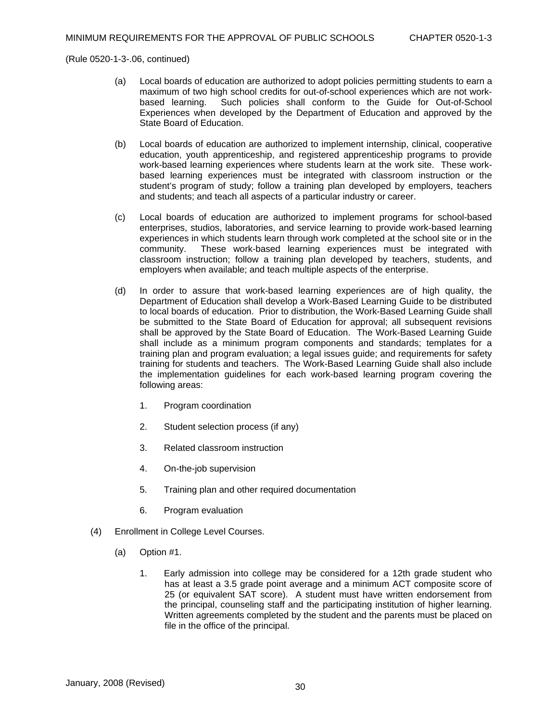- (a) Local boards of education are authorized to adopt policies permitting students to earn a maximum of two high school credits for out-of-school experiences which are not work-<br>based learning. Such policies shall conform to the Guide for Out-of-School Such policies shall conform to the Guide for Out-of-School Experiences when developed by the Department of Education and approved by the State Board of Education.
- (b) Local boards of education are authorized to implement internship, clinical, cooperative education, youth apprenticeship, and registered apprenticeship programs to provide work-based learning experiences where students learn at the work site. These workbased learning experiences must be integrated with classroom instruction or the student's program of study; follow a training plan developed by employers, teachers and students; and teach all aspects of a particular industry or career.
- (c) Local boards of education are authorized to implement programs for school-based enterprises, studios, laboratories, and service learning to provide work-based learning experiences in which students learn through work completed at the school site or in the community. These work-based learning experiences must be integrated with classroom instruction; follow a training plan developed by teachers, students, and employers when available; and teach multiple aspects of the enterprise.
- (d) In order to assure that work-based learning experiences are of high quality, the Department of Education shall develop a Work-Based Learning Guide to be distributed to local boards of education. Prior to distribution, the Work-Based Learning Guide shall be submitted to the State Board of Education for approval; all subsequent revisions shall be approved by the State Board of Education. The Work-Based Learning Guide shall include as a minimum program components and standards; templates for a training plan and program evaluation; a legal issues guide; and requirements for safety training for students and teachers. The Work-Based Learning Guide shall also include the implementation guidelines for each work-based learning program covering the following areas:
	- 1. Program coordination
	- 2. Student selection process (if any)
	- 3. Related classroom instruction
	- 4. On-the-job supervision
	- 5. Training plan and other required documentation
	- 6. Program evaluation
- (4) Enrollment in College Level Courses.
	- (a) Option #1.
		- 1. Early admission into college may be considered for a 12th grade student who has at least a 3.5 grade point average and a minimum ACT composite score of 25 (or equivalent SAT score). A student must have written endorsement from the principal, counseling staff and the participating institution of higher learning. Written agreements completed by the student and the parents must be placed on file in the office of the principal.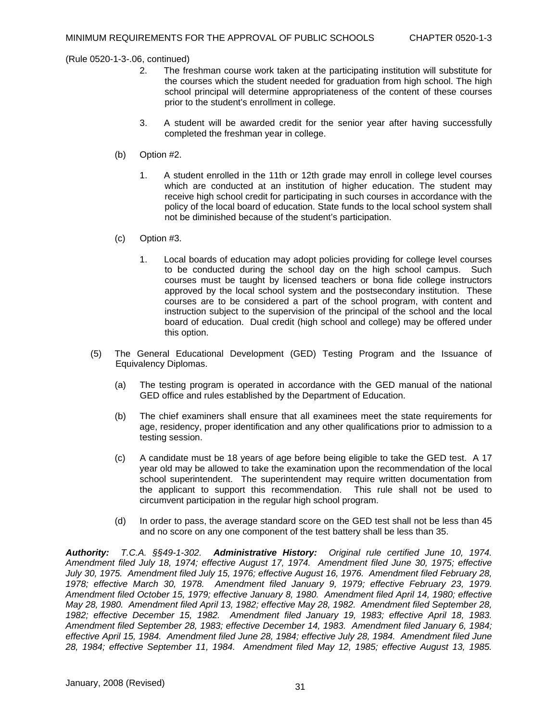- 2. The freshman course work taken at the participating institution will substitute for the courses which the student needed for graduation from high school. The high school principal will determine appropriateness of the content of these courses prior to the student's enrollment in college.
- 3. A student will be awarded credit for the senior year after having successfully completed the freshman year in college.
- (b) Option #2.
	- 1. A student enrolled in the 11th or 12th grade may enroll in college level courses which are conducted at an institution of higher education. The student may receive high school credit for participating in such courses in accordance with the policy of the local board of education. State funds to the local school system shall not be diminished because of the student's participation.
- (c) Option #3.
	- 1. Local boards of education may adopt policies providing for college level courses to be conducted during the school day on the high school campus. Such courses must be taught by licensed teachers or bona fide college instructors approved by the local school system and the postsecondary institution. These courses are to be considered a part of the school program, with content and instruction subject to the supervision of the principal of the school and the local board of education. Dual credit (high school and college) may be offered under this option.
- (5) The General Educational Development (GED) Testing Program and the Issuance of Equivalency Diplomas.
	- (a) The testing program is operated in accordance with the GED manual of the national GED office and rules established by the Department of Education.
	- (b) The chief examiners shall ensure that all examinees meet the state requirements for age, residency, proper identification and any other qualifications prior to admission to a testing session.
	- (c) A candidate must be 18 years of age before being eligible to take the GED test. A 17 year old may be allowed to take the examination upon the recommendation of the local school superintendent. The superintendent may require written documentation from the applicant to support this recommendation. This rule shall not be used to circumvent participation in the regular high school program.
	- (d) In order to pass, the average standard score on the GED test shall not be less than 45 and no score on any one component of the test battery shall be less than 35.

*Authority: T.C.A. §§49-1-302. Administrative History: Original rule certified June 10, 1974. Amendment filed July 18, 1974; effective August 17, 1974. Amendment filed June 30, 1975; effective July 30, 1975. Amendment filed July 15, 1976; effective August 16, 1976. Amendment filed February 28, 1978; effective March 30, 1978. Amendment filed January 9, 1979; effective February 23, 1979. Amendment filed October 15, 1979; effective January 8, 1980. Amendment filed April 14, 1980; effective May 28, 1980. Amendment filed April 13, 1982; effective May 28, 1982. Amendment filed September 28, 1982; effective December 15, 1982. Amendment filed January 19, 1983; effective April 18, 1983. Amendment filed September 28, 1983; effective December 14, 1983. Amendment filed January 6, 1984; effective April 15, 1984. Amendment filed June 28, 1984; effective July 28, 1984. Amendment filed June 28, 1984; effective September 11, 1984. Amendment filed May 12, 1985; effective August 13, 1985.*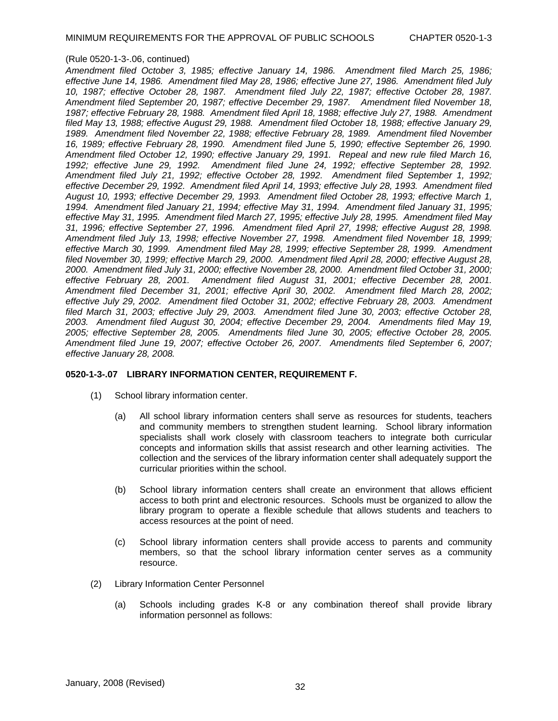*Amendment filed October 3, 1985; effective January 14, 1986. Amendment filed March 25, 1986; effective June 14, 1986. Amendment filed May 28, 1986; effective June 27, 1986. Amendment filed July 10, 1987; effective October 28, 1987. Amendment filed July 22, 1987; effective October 28, 1987. Amendment filed September 20, 1987; effective December 29, 1987. Amendment filed November 18, 1987; effective February 28, 1988. Amendment filed April 18, 1988; effective July 27, 1988. Amendment filed May 13, 1988; effective August 29, 1988. Amendment filed October 18, 1988; effective January 29, 1989. Amendment filed November 22, 1988; effective February 28, 1989. Amendment filed November 16, 1989; effective February 28, 1990. Amendment filed June 5, 1990; effective September 26, 1990. Amendment filed October 12, 1990; effective January 29, 1991. Repeal and new rule filed March 16, 1992; effective June 29, 1992. Amendment filed June 24, 1992; effective September 28, 1992. Amendment filed July 21, 1992; effective October 28, 1992. Amendment filed September 1, 1992; effective December 29, 1992. Amendment filed April 14, 1993; effective July 28, 1993. Amendment filed August 10, 1993; effective December 29, 1993. Amendment filed October 28, 1993; effective March 1, 1994. Amendment filed January 21, 1994; effective May 31, 1994. Amendment filed January 31, 1995; effective May 31, 1995. Amendment filed March 27, 1995; effective July 28, 1995. Amendment filed May 31, 1996; effective September 27, 1996. Amendment filed April 27, 1998; effective August 28, 1998. Amendment filed July 13, 1998; effective November 27, 1998. Amendment filed November 18, 1999; effective March 30, 1999. Amendment filed May 28, 1999; effective September 28, 1999. Amendment filed November 30, 1999; effective March 29, 2000. Amendment filed April 28, 2000; effective August 28, 2000. Amendment filed July 31, 2000; effective November 28, 2000. Amendment filed October 31, 2000; effective February 28, 2001. Amendment filed August 31, 2001; effective December 28, 2001. Amendment filed December 31, 2001; effective April 30, 2002. Amendment filed March 28, 2002; effective July 29, 2002. Amendment filed October 31, 2002; effective February 28, 2003. Amendment filed March 31, 2003; effective July 29, 2003. Amendment filed June 30, 2003; effective October 28, 2003. Amendment filed August 30, 2004; effective December 29, 2004. Amendments filed May 19, 2005; effective September 28, 2005. Amendments filed June 30, 2005; effective October 28, 2005. Amendment filed June 19, 2007; effective October 26, 2007. Amendments filed September 6, 2007; effective January 28, 2008.* 

## **0520-1-3-.07 LIBRARY INFORMATION CENTER, REQUIREMENT F.**

- (1) School library information center.
	- (a) All school library information centers shall serve as resources for students, teachers and community members to strengthen student learning. School library information specialists shall work closely with classroom teachers to integrate both curricular concepts and information skills that assist research and other learning activities. The collection and the services of the library information center shall adequately support the curricular priorities within the school.
	- (b) School library information centers shall create an environment that allows efficient access to both print and electronic resources. Schools must be organized to allow the library program to operate a flexible schedule that allows students and teachers to access resources at the point of need.
	- (c) School library information centers shall provide access to parents and community members, so that the school library information center serves as a community resource.
- (2) Library Information Center Personnel
	- (a) Schools including grades K-8 or any combination thereof shall provide library information personnel as follows: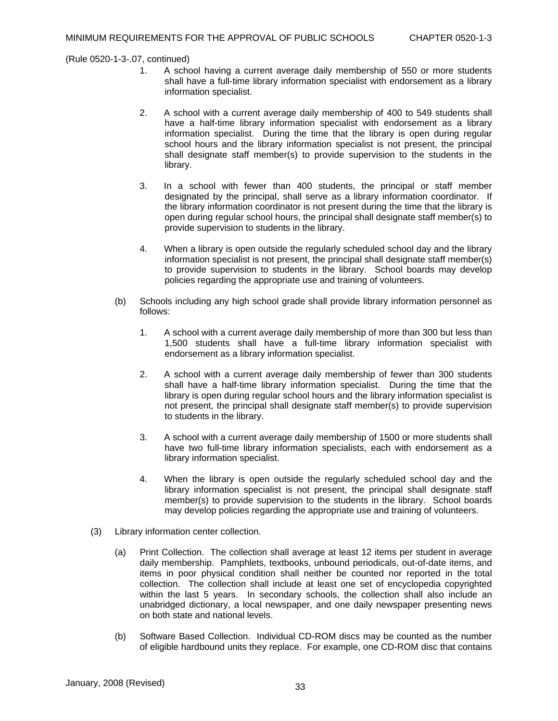- 1. A school having a current average daily membership of 550 or more students shall have a full-time library information specialist with endorsement as a library information specialist.
- 2. A school with a current average daily membership of 400 to 549 students shall have a half-time library information specialist with endorsement as a library information specialist. During the time that the library is open during regular school hours and the library information specialist is not present, the principal shall designate staff member(s) to provide supervision to the students in the library.
- 3. In a school with fewer than 400 students, the principal or staff member designated by the principal, shall serve as a library information coordinator. If the library information coordinator is not present during the time that the library is open during regular school hours, the principal shall designate staff member(s) to provide supervision to students in the library.
- 4. When a library is open outside the regularly scheduled school day and the library information specialist is not present, the principal shall designate staff member(s) to provide supervision to students in the library. School boards may develop policies regarding the appropriate use and training of volunteers.
- (b) Schools including any high school grade shall provide library information personnel as follows:
	- 1. A school with a current average daily membership of more than 300 but less than 1,500 students shall have a full-time library information specialist with endorsement as a library information specialist.
	- 2. A school with a current average daily membership of fewer than 300 students shall have a half-time library information specialist. During the time that the library is open during regular school hours and the library information specialist is not present, the principal shall designate staff member(s) to provide supervision to students in the library.
	- 3. A school with a current average daily membership of 1500 or more students shall have two full-time library information specialists, each with endorsement as a library information specialist.
	- 4. When the library is open outside the regularly scheduled school day and the library information specialist is not present, the principal shall designate staff member(s) to provide supervision to the students in the library. School boards may develop policies regarding the appropriate use and training of volunteers.
- (3) Library information center collection.
	- (a) Print Collection. The collection shall average at least 12 items per student in average daily membership. Pamphlets, textbooks, unbound periodicals, out-of-date items, and items in poor physical condition shall neither be counted nor reported in the total collection. The collection shall include at least one set of encyclopedia copyrighted within the last 5 years. In secondary schools, the collection shall also include an unabridged dictionary, a local newspaper, and one daily newspaper presenting news on both state and national levels.
	- (b) Software Based Collection. Individual CD-ROM discs may be counted as the number of eligible hardbound units they replace. For example, one CD-ROM disc that contains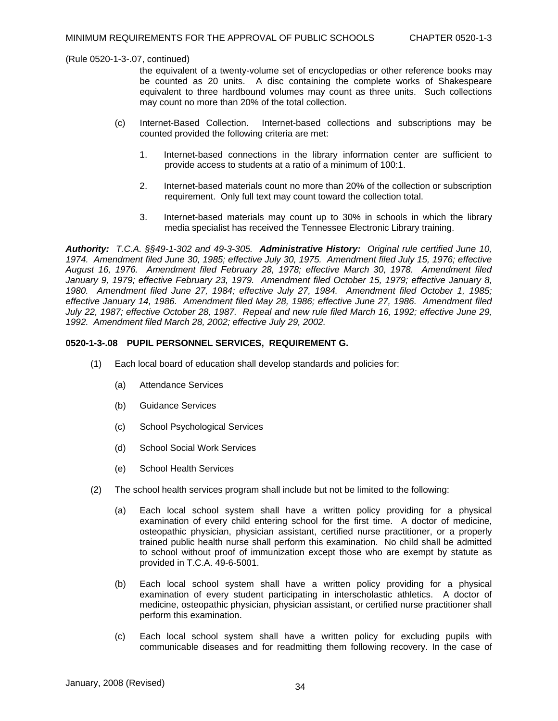the equivalent of a twenty-volume set of encyclopedias or other reference books may be counted as 20 units. A disc containing the complete works of Shakespeare equivalent to three hardbound volumes may count as three units. Such collections may count no more than 20% of the total collection.

- (c) Internet-Based Collection. Internet-based collections and subscriptions may be counted provided the following criteria are met:
	- 1. Internet-based connections in the library information center are sufficient to provide access to students at a ratio of a minimum of 100:1.
	- 2. Internet-based materials count no more than 20% of the collection or subscription requirement. Only full text may count toward the collection total.
	- 3. Internet-based materials may count up to 30% in schools in which the library media specialist has received the Tennessee Electronic Library training.

*Authority: T.C.A. §§49-1-302 and 49-3-305. Administrative History: Original rule certified June 10, 1974. Amendment filed June 30, 1985; effective July 30, 1975. Amendment filed July 15, 1976; effective August 16, 1976. Amendment filed February 28, 1978; effective March 30, 1978. Amendment filed January 9, 1979; effective February 23, 1979. Amendment filed October 15, 1979; effective January 8, 1980. Amendment filed June 27, 1984; effective July 27, 1984. Amendment filed October 1, 1985; effective January 14, 1986. Amendment filed May 28, 1986; effective June 27, 1986. Amendment filed July 22, 1987; effective October 28, 1987. Repeal and new rule filed March 16, 1992; effective June 29, 1992. Amendment filed March 28, 2002; effective July 29, 2002.* 

### **0520-1-3-.08 PUPIL PERSONNEL SERVICES, REQUIREMENT G.**

- (1) Each local board of education shall develop standards and policies for:
	- (a) Attendance Services
	- (b) Guidance Services
	- (c) School Psychological Services
	- (d) School Social Work Services
	- (e) School Health Services
- (2) The school health services program shall include but not be limited to the following:
	- (a) Each local school system shall have a written policy providing for a physical examination of every child entering school for the first time. A doctor of medicine, osteopathic physician, physician assistant, certified nurse practitioner, or a properly trained public health nurse shall perform this examination. No child shall be admitted to school without proof of immunization except those who are exempt by statute as provided in T.C.A. 49-6-5001.
	- (b) Each local school system shall have a written policy providing for a physical examination of every student participating in interscholastic athletics. A doctor of medicine, osteopathic physician, physician assistant, or certified nurse practitioner shall perform this examination.
	- (c) Each local school system shall have a written policy for excluding pupils with communicable diseases and for readmitting them following recovery. In the case of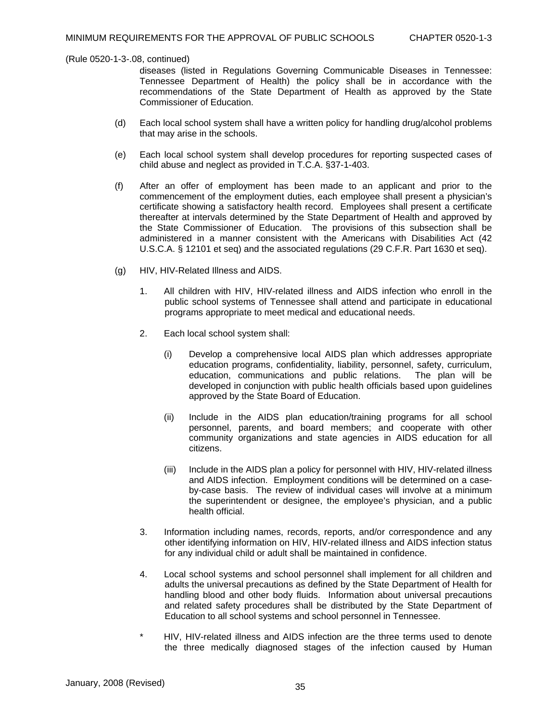diseases (listed in Regulations Governing Communicable Diseases in Tennessee: Tennessee Department of Health) the policy shall be in accordance with the recommendations of the State Department of Health as approved by the State Commissioner of Education.

- (d) Each local school system shall have a written policy for handling drug/alcohol problems that may arise in the schools.
- (e) Each local school system shall develop procedures for reporting suspected cases of child abuse and neglect as provided in T.C.A. §37-1-403.
- (f) After an offer of employment has been made to an applicant and prior to the commencement of the employment duties, each employee shall present a physician's certificate showing a satisfactory health record. Employees shall present a certificate thereafter at intervals determined by the State Department of Health and approved by the State Commissioner of Education. The provisions of this subsection shall be administered in a manner consistent with the Americans with Disabilities Act (42 U.S.C.A. § 12101 et seq) and the associated regulations (29 C.F.R. Part 1630 et seq).
- (g) HIV, HIV-Related Illness and AIDS.
	- 1. All children with HIV, HIV-related illness and AIDS infection who enroll in the public school systems of Tennessee shall attend and participate in educational programs appropriate to meet medical and educational needs.
	- 2. Each local school system shall:
		- (i) Develop a comprehensive local AIDS plan which addresses appropriate education programs, confidentiality, liability, personnel, safety, curriculum, education, communications and public relations. The plan will be developed in conjunction with public health officials based upon guidelines approved by the State Board of Education.
		- (ii) Include in the AIDS plan education/training programs for all school personnel, parents, and board members; and cooperate with other community organizations and state agencies in AIDS education for all citizens.
		- (iii) Include in the AIDS plan a policy for personnel with HIV, HIV-related illness and AIDS infection. Employment conditions will be determined on a caseby-case basis. The review of individual cases will involve at a minimum the superintendent or designee, the employee's physician, and a public health official.
	- 3. Information including names, records, reports, and/or correspondence and any other identifying information on HIV, HIV-related illness and AIDS infection status for any individual child or adult shall be maintained in confidence.
	- 4. Local school systems and school personnel shall implement for all children and adults the universal precautions as defined by the State Department of Health for handling blood and other body fluids. Information about universal precautions and related safety procedures shall be distributed by the State Department of Education to all school systems and school personnel in Tennessee.
	- HIV, HIV-related illness and AIDS infection are the three terms used to denote the three medically diagnosed stages of the infection caused by Human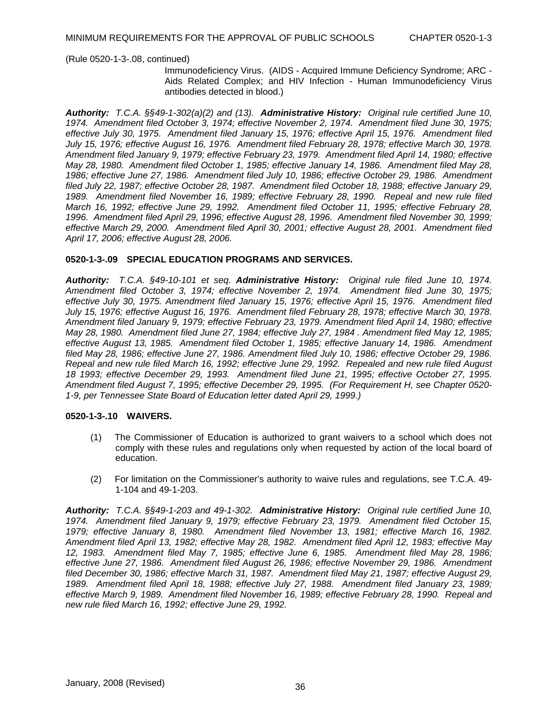Immunodeficiency Virus. (AIDS - Acquired Immune Deficiency Syndrome; ARC - Aids Related Complex; and HIV Infection - Human Immunodeficiency Virus antibodies detected in blood.)

*Authority: T.C.A. §§49-1-302(a)(2) and (13). Administrative History: Original rule certified June 10, 1974. Amendment filed October 3, 1974; effective November 2, 1974. Amendment filed June 30, 1975; effective July 30, 1975. Amendment filed January 15, 1976; effective April 15, 1976. Amendment filed July 15, 1976; effective August 16, 1976. Amendment filed February 28, 1978; effective March 30, 1978. Amendment filed January 9, 1979; effective February 23, 1979. Amendment filed April 14, 1980; effective May 28, 1980. Amendment filed October 1, 1985; effective January 14, 1986. Amendment filed May 28, 1986; effective June 27, 1986. Amendment filed July 10, 1986; effective October 29, 1986. Amendment filed July 22, 1987; effective October 28, 1987. Amendment filed October 18, 1988; effective January 29, 1989. Amendment filed November 16, 1989; effective February 28, 1990. Repeal and new rule filed March 16, 1992; effective June 29, 1992. Amendment filed October 11, 1995; effective February 28, 1996. Amendment filed April 29, 1996; effective August 28, 1996. Amendment filed November 30, 1999; effective March 29, 2000. Amendment filed April 30, 2001; effective August 28, 2001. Amendment filed April 17, 2006; effective August 28, 2006.* 

### **0520-1-3-.09 SPECIAL EDUCATION PROGRAMS AND SERVICES.**

*Authority: T.C.A. §49-10-101 et seq. Administrative History: Original rule filed June 10, 1974. Amendment filed October 3, 1974; effective November 2, 1974. Amendment filed June 30, 1975; effective July 30, 1975. Amendment filed January 15, 1976; effective April 15, 1976. Amendment filed July 15, 1976; effective August 16, 1976. Amendment filed February 28, 1978; effective March 30, 1978. Amendment filed January 9, 1979; effective February 23, 1979. Amendment filed April 14, 1980; effective May 28, 1980. Amendment filed June 27, 1984; effective July 27, 1984 . Amendment filed May 12, 1985; effective August 13, 1985. Amendment filed October 1, 1985; effective January 14, 1986. Amendment filed May 28, 1986; effective June 27, 1986. Amendment filed July 10, 1986; effective October 29, 1986. Repeal and new rule filed March 16, 1992; effective June 29, 1992. Repealed and new rule filed August 18 1993; effective December 29, 1993. Amendment filed June 21, 1995; effective October 27, 1995. Amendment filed August 7, 1995; effective December 29, 1995. (For Requirement H, see Chapter 0520- 1-9, per Tennessee State Board of Education letter dated April 29, 1999.)* 

## **0520-1-3-.10 WAIVERS.**

- (1) The Commissioner of Education is authorized to grant waivers to a school which does not comply with these rules and regulations only when requested by action of the local board of education.
- (2) For limitation on the Commissioner's authority to waive rules and regulations, see T.C.A. 49- 1-104 and 49-1-203.

*Authority: T.C.A. §§49-1-203 and 49-1-302. Administrative History: Original rule certified June 10, 1974. Amendment filed January 9, 1979; effective February 23, 1979. Amendment filed October 15, 1979; effective January 8, 1980. Amendment filed November 13, 1981; effective March 16, 1982. Amendment filed April 13, 1982; effective May 28, 1982. Amendment filed April 12, 1983; effective May 12, 1983. Amendment filed May 7, 1985; effective June 6, 1985. Amendment filed May 28, 1986; effective June 27, 1986. Amendment filed August 26, 1986; effective November 29, 1986. Amendment filed December 30, 1986; effective March 31, 1987. Amendment filed May 21, 1987; effective August 29, 1989. Amendment filed April 18, 1988; effective July 27, 1988. Amendment filed January 23, 1989; effective March 9, 1989. Amendment filed November 16, 1989; effective February 28, 1990. Repeal and new rule filed March 16, 1992; effective June 29, 1992.*